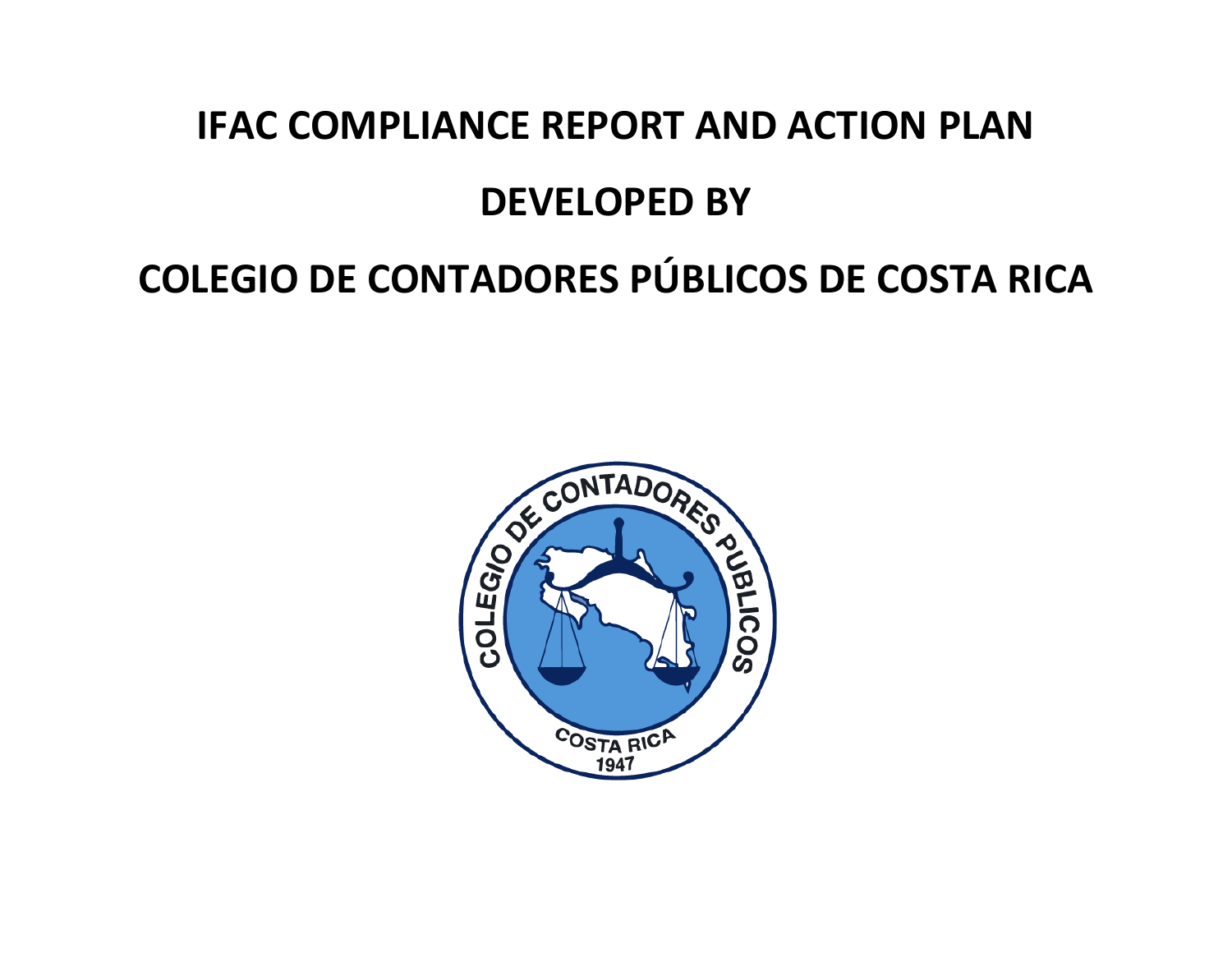## **IFAC COMPLIANCE REPORT AND ACTION PLAN**

## **DEVELOPED BY**

# **COLEGIO DE CONTADORES PÚBLICOS DE COSTA RICA**

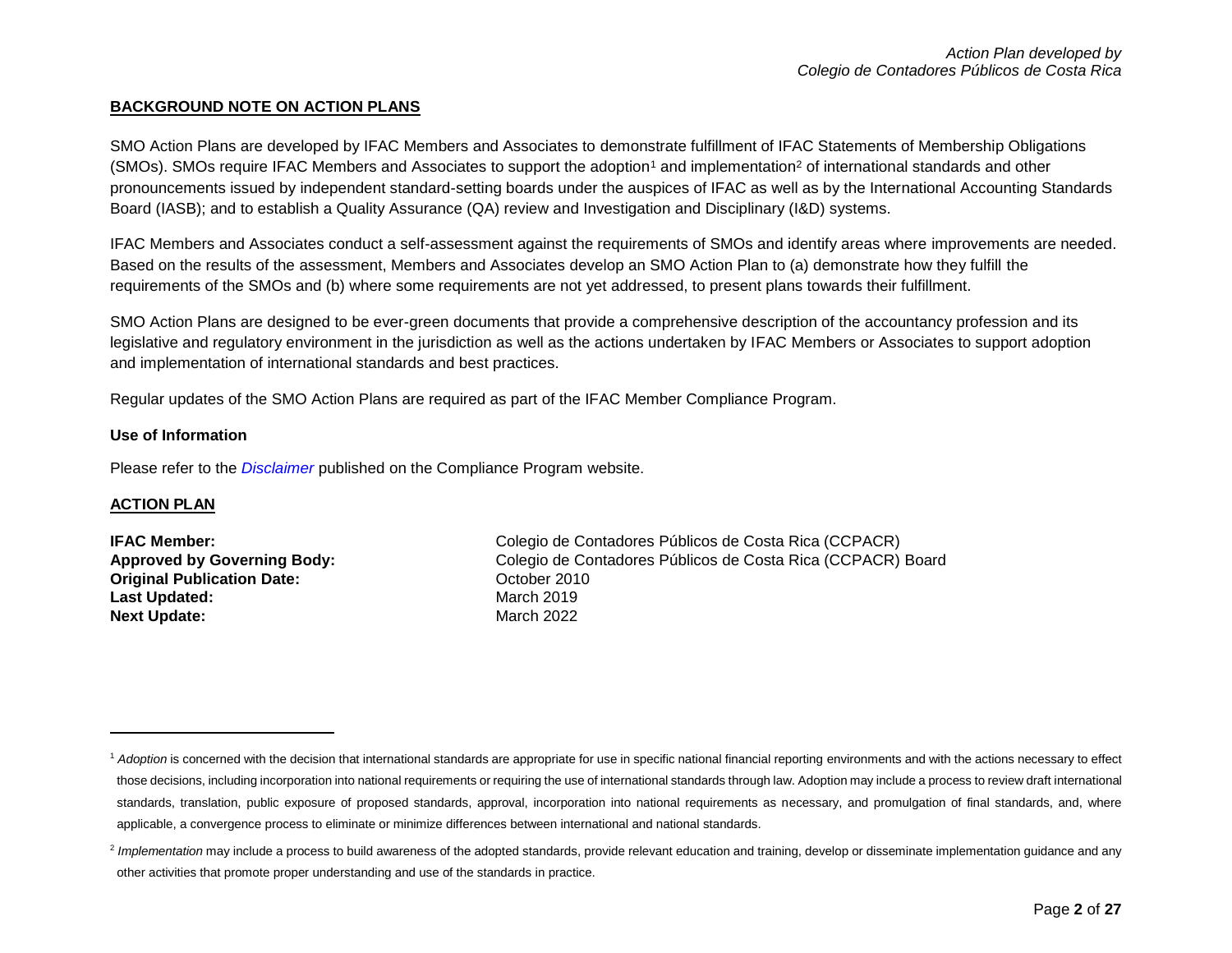## **BACKGROUND NOTE ON ACTION PLANS**

SMO Action Plans are developed by IFAC Members and Associates to demonstrate fulfillment of IFAC Statements of Membership Obligations (SMOs). SMOs require IFAC Members and Associates to support the adoption<sup>1</sup> and implementation<sup>2</sup> of international standards and other pronouncements issued by independent standard-setting boards under the auspices of IFAC as well as by the International Accounting Standards Board (IASB); and to establish a Quality Assurance (QA) review and Investigation and Disciplinary (I&D) systems.

IFAC Members and Associates conduct a self-assessment against the requirements of SMOs and identify areas where improvements are needed. Based on the results of the assessment, Members and Associates develop an SMO Action Plan to (a) demonstrate how they fulfill the requirements of the SMOs and (b) where some requirements are not yet addressed, to present plans towards their fulfillment.

SMO Action Plans are designed to be ever-green documents that provide a comprehensive description of the accountancy profession and its legislative and regulatory environment in the jurisdiction as well as the actions undertaken by IFAC Members or Associates to support adoption and implementation of international standards and best practices.

Regular updates of the SMO Action Plans are required as part of the IFAC Member Compliance Program.

### **Use of Information**

Please refer to the *[Disclaimer](http://www.ifac.org/about-ifac/membership/members/disclaimer)* published on the Compliance Program website.

### **ACTION PLAN**

 $\overline{a}$ 

**Original Publication Date:** Corrected and Corrected and October 2010 Last Updated: March 2019 **Next Update: March 2022** 

**IFAC Member:** Colegio de Contadores Públicos de Costa Rica (CCPACR) **Approved by Governing Body:** Colegio de Contadores Públicos de Costa Rica (CCPACR) Board

<sup>&</sup>lt;sup>1</sup> Adoption is concerned with the decision that international standards are appropriate for use in specific national financial reporting environments and with the actions necessary to effect those decisions, including incorporation into national requirements or requiring the use of international standards through law. Adoption may include a process to review draft international standards, translation, public exposure of proposed standards, approval, incorporation into national requirements as necessary, and promulgation of final standards, and, where applicable, a convergence process to eliminate or minimize differences between international and national standards.

<sup>&</sup>lt;sup>2</sup> Implementation may include a process to build awareness of the adopted standards, provide relevant education and training, develop or disseminate implementation guidance and any other activities that promote proper understanding and use of the standards in practice.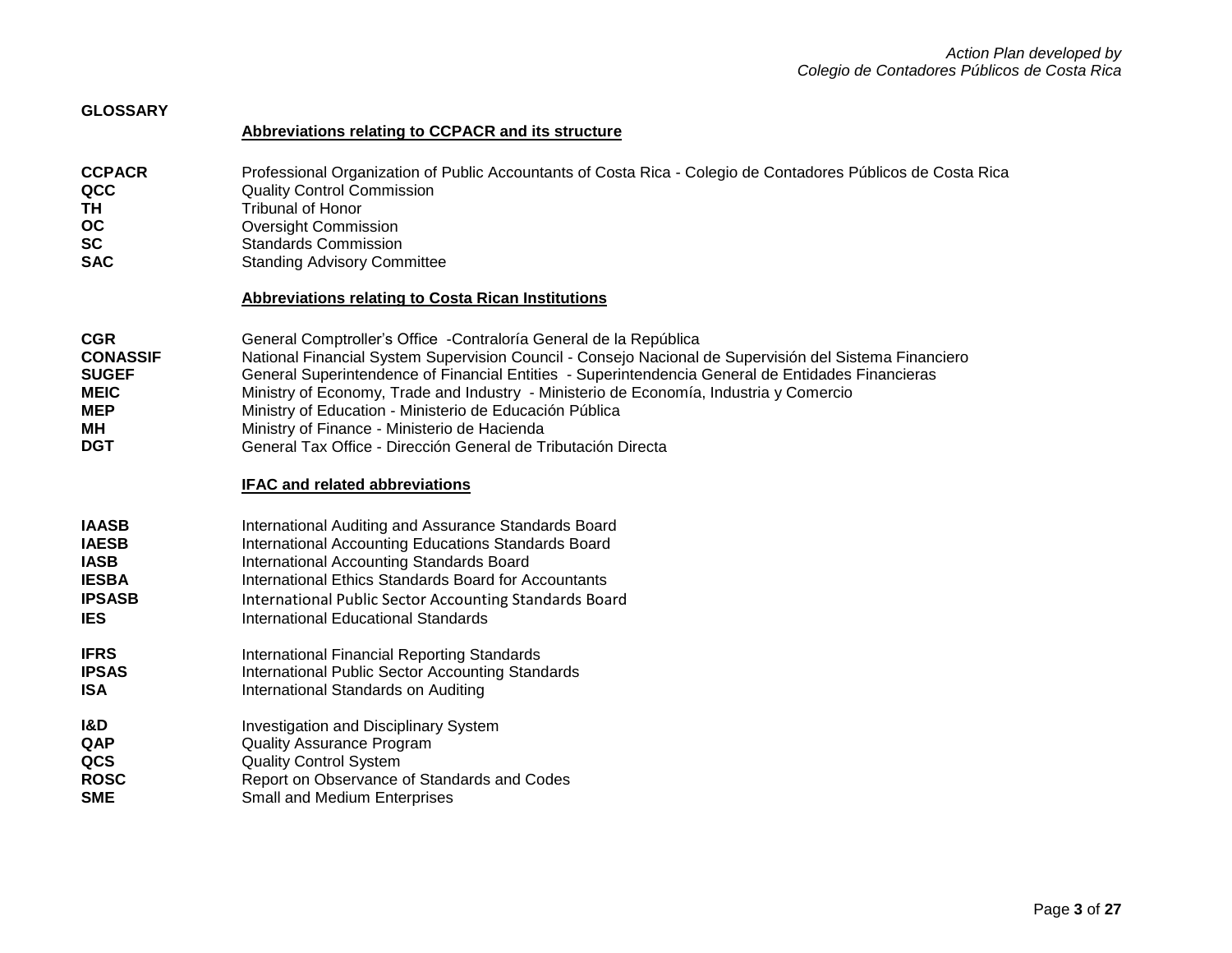| <b>GLOSSARY</b>                                                                                |                                                                                                                                                                                                                                                                                                                                                                                                                                                                                                                                                                                                  |
|------------------------------------------------------------------------------------------------|--------------------------------------------------------------------------------------------------------------------------------------------------------------------------------------------------------------------------------------------------------------------------------------------------------------------------------------------------------------------------------------------------------------------------------------------------------------------------------------------------------------------------------------------------------------------------------------------------|
|                                                                                                | Abbreviations relating to CCPACR and its structure                                                                                                                                                                                                                                                                                                                                                                                                                                                                                                                                               |
| <b>CCPACR</b><br>QCC<br><b>TH</b><br><b>OC</b><br><b>SC</b><br><b>SAC</b>                      | Professional Organization of Public Accountants of Costa Rica - Colegio de Contadores Públicos de Costa Rica<br><b>Quality Control Commission</b><br><b>Tribunal of Honor</b><br><b>Oversight Commission</b><br><b>Standards Commission</b><br><b>Standing Advisory Committee</b><br><b>Abbreviations relating to Costa Rican Institutions</b>                                                                                                                                                                                                                                                   |
| <b>CGR</b><br><b>CONASSIF</b><br><b>SUGEF</b><br><b>MEIC</b><br><b>MEP</b><br>MН<br><b>DGT</b> | General Comptroller's Office - Contraloría General de la República<br>National Financial System Supervision Council - Consejo Nacional de Supervisión del Sistema Financiero<br>General Superintendence of Financial Entities - Superintendencia General de Entidades Financieras<br>Ministry of Economy, Trade and Industry - Ministerio de Economía, Industria y Comercio<br>Ministry of Education - Ministerio de Educación Pública<br>Ministry of Finance - Ministerio de Hacienda<br>General Tax Office - Dirección General de Tributación Directa<br><b>IFAC and related abbreviations</b> |
| <b>IAASB</b><br><b>IAESB</b><br><b>IASB</b><br><b>IESBA</b><br><b>IPSASB</b><br><b>IES</b>     | International Auditing and Assurance Standards Board<br>International Accounting Educations Standards Board<br>International Accounting Standards Board<br>International Ethics Standards Board for Accountants<br>International Public Sector Accounting Standards Board<br><b>International Educational Standards</b>                                                                                                                                                                                                                                                                          |
| <b>IFRS</b><br><b>IPSAS</b><br><b>ISA</b>                                                      | International Financial Reporting Standards<br><b>International Public Sector Accounting Standards</b><br>International Standards on Auditing                                                                                                                                                                                                                                                                                                                                                                                                                                                    |
| <b>I&amp;D</b><br>QAP<br>QCS<br><b>ROSC</b><br><b>SME</b>                                      | Investigation and Disciplinary System<br><b>Quality Assurance Program</b><br><b>Quality Control System</b><br>Report on Observance of Standards and Codes<br><b>Small and Medium Enterprises</b>                                                                                                                                                                                                                                                                                                                                                                                                 |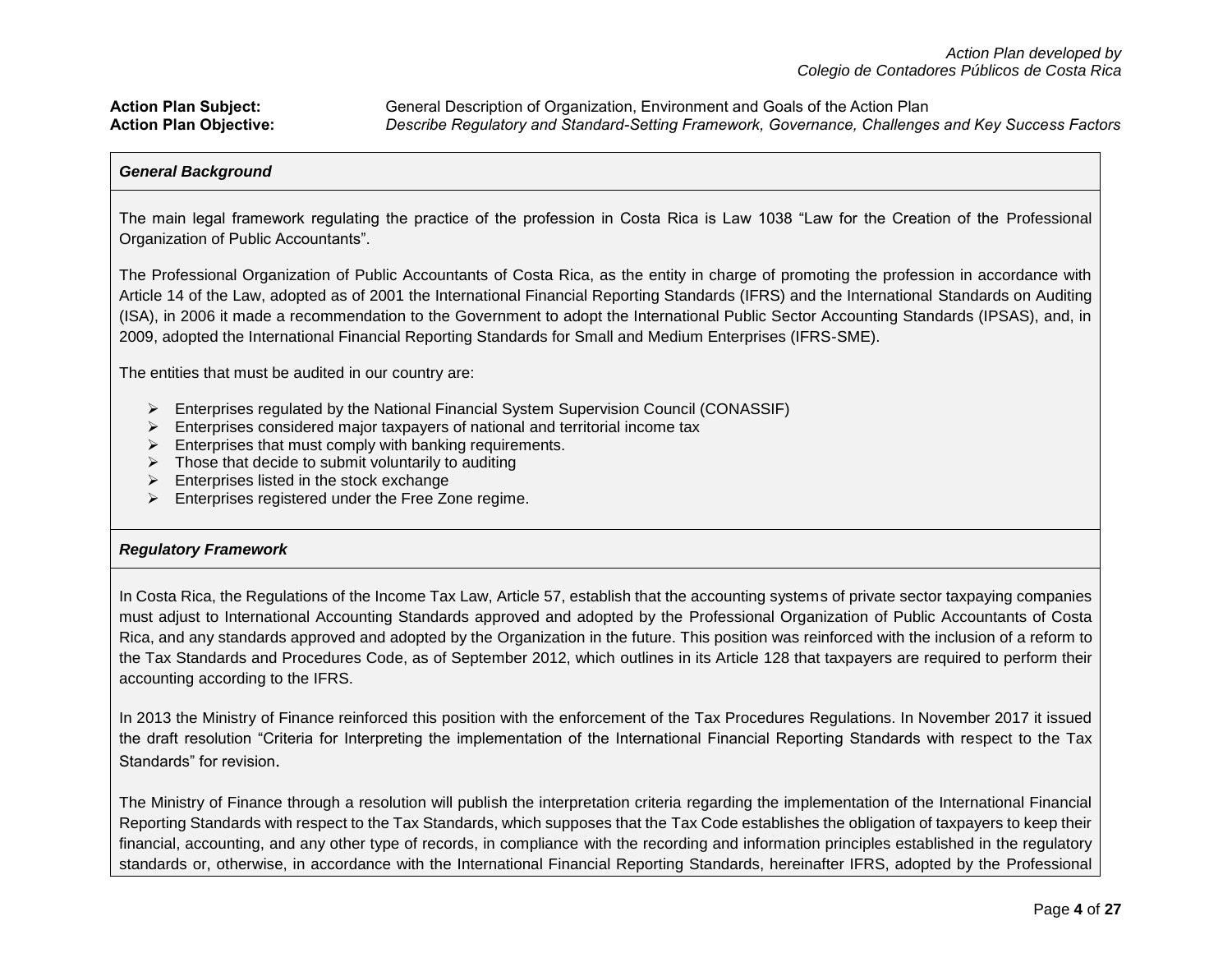## *General Background*

The main legal framework regulating the practice of the profession in Costa Rica is Law 1038 "Law for the Creation of the Professional Organization of Public Accountants".

The Professional Organization of Public Accountants of Costa Rica, as the entity in charge of promoting the profession in accordance with Article 14 of the Law, adopted as of 2001 the International Financial Reporting Standards (IFRS) and the International Standards on Auditing (ISA), in 2006 it made a recommendation to the Government to adopt the International Public Sector Accounting Standards (IPSAS), and, in 2009, adopted the International Financial Reporting Standards for Small and Medium Enterprises (IFRS-SME).

The entities that must be audited in our country are:

- $\triangleright$  Enterprises regulated by the National Financial System Supervision Council (CONASSIF)
- $\triangleright$  Enterprises considered major taxpayers of national and territorial income tax
- $\triangleright$  Enterprises that must comply with banking requirements.
- $\triangleright$  Those that decide to submit voluntarily to auditing
- $\triangleright$  Enterprises listed in the stock exchange
- $\triangleright$  Enterprises registered under the Free Zone regime.

## *Regulatory Framework*

In Costa Rica, the Regulations of the Income Tax Law, Article 57, establish that the accounting systems of private sector taxpaying companies must adjust to International Accounting Standards approved and adopted by the Professional Organization of Public Accountants of Costa Rica, and any standards approved and adopted by the Organization in the future. This position was reinforced with the inclusion of a reform to the Tax Standards and Procedures Code, as of September 2012, which outlines in its Article 128 that taxpayers are required to perform their accounting according to the IFRS.

In 2013 the Ministry of Finance reinforced this position with the enforcement of the Tax Procedures Regulations. In November 2017 it issued the draft resolution "Criteria for Interpreting the implementation of the International Financial Reporting Standards with respect to the Tax Standards" for revision.

The Ministry of Finance through a resolution will publish the interpretation criteria regarding the implementation of the International Financial Reporting Standards with respect to the Tax Standards, which supposes that the Tax Code establishes the obligation of taxpayers to keep their financial, accounting, and any other type of records, in compliance with the recording and information principles established in the regulatory standards or, otherwise, in accordance with the International Financial Reporting Standards, hereinafter IFRS, adopted by the Professional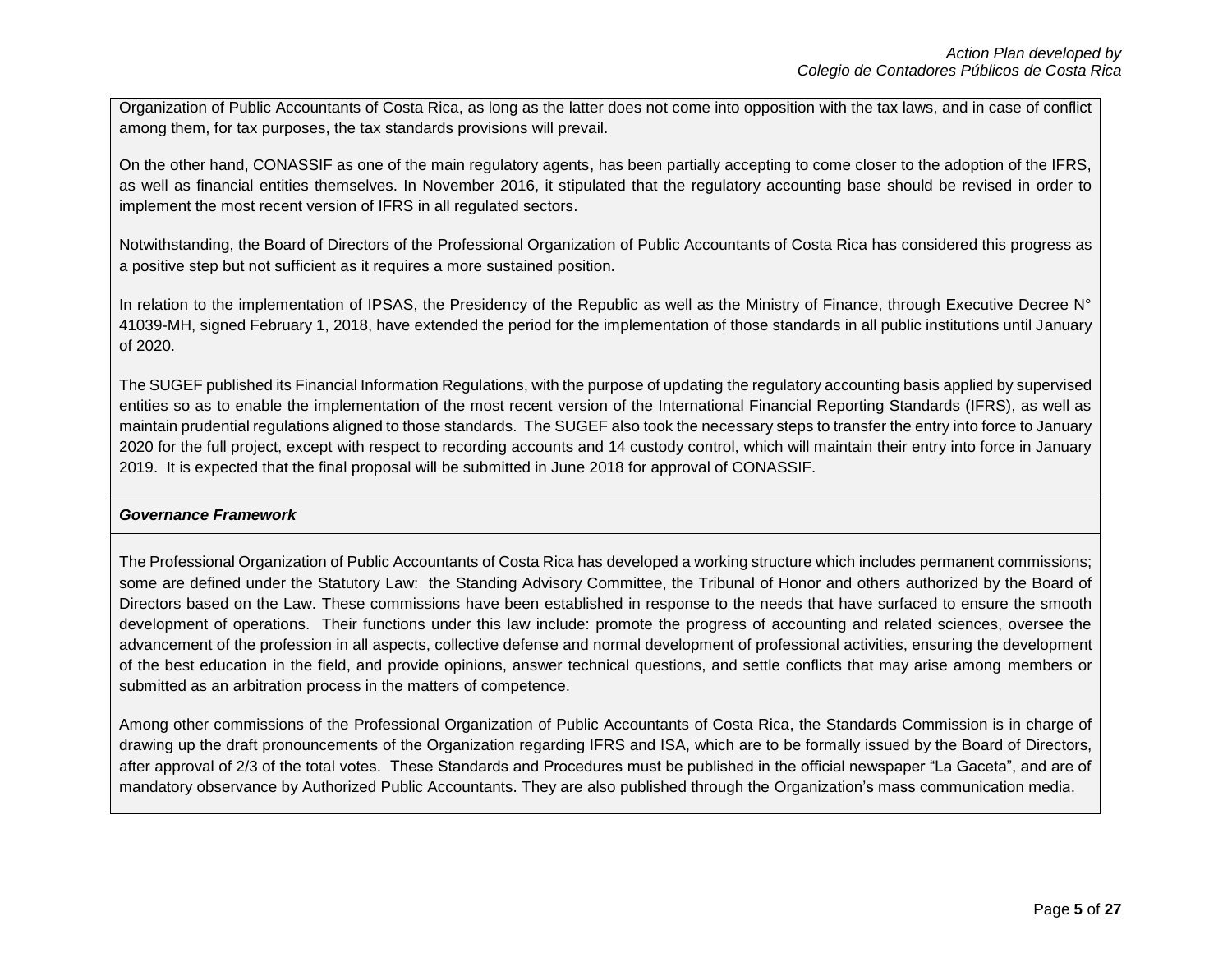Organization of Public Accountants of Costa Rica, as long as the latter does not come into opposition with the tax laws, and in case of conflict among them, for tax purposes, the tax standards provisions will prevail.

On the other hand, CONASSIF as one of the main regulatory agents, has been partially accepting to come closer to the adoption of the IFRS, as well as financial entities themselves. In November 2016, it stipulated that the regulatory accounting base should be revised in order to implement the most recent version of IFRS in all regulated sectors.

Notwithstanding, the Board of Directors of the Professional Organization of Public Accountants of Costa Rica has considered this progress as a positive step but not sufficient as it requires a more sustained position.

In relation to the implementation of IPSAS, the Presidency of the Republic as well as the Ministry of Finance, through Executive Decree  $N^{\circ}$ 41039-MH, signed February 1, 2018, have extended the period for the implementation of those standards in all public institutions until January of 2020.

The SUGEF published its Financial Information Regulations, with the purpose of updating the regulatory accounting basis applied by supervised entities so as to enable the implementation of the most recent version of the International Financial Reporting Standards (IFRS), as well as maintain prudential regulations aligned to those standards. The SUGEF also took the necessary steps to transfer the entry into force to January 2020 for the full project, except with respect to recording accounts and 14 custody control, which will maintain their entry into force in January 2019. It is expected that the final proposal will be submitted in June 2018 for approval of CONASSIF.

## *Governance Framework*

The Professional Organization of Public Accountants of Costa Rica has developed a working structure which includes permanent commissions; some are defined under the Statutory Law: the Standing Advisory Committee, the Tribunal of Honor and others authorized by the Board of Directors based on the Law. These commissions have been established in response to the needs that have surfaced to ensure the smooth development of operations. Their functions under this law include: promote the progress of accounting and related sciences, oversee the advancement of the profession in all aspects, collective defense and normal development of professional activities, ensuring the development of the best education in the field, and provide opinions, answer technical questions, and settle conflicts that may arise among members or submitted as an arbitration process in the matters of competence.

Among other commissions of the Professional Organization of Public Accountants of Costa Rica, the Standards Commission is in charge of drawing up the draft pronouncements of the Organization regarding IFRS and ISA, which are to be formally issued by the Board of Directors, after approval of 2/3 of the total votes. These Standards and Procedures must be published in the official newspaper "La Gaceta", and are of mandatory observance by Authorized Public Accountants. They are also published through the Organization's mass communication media.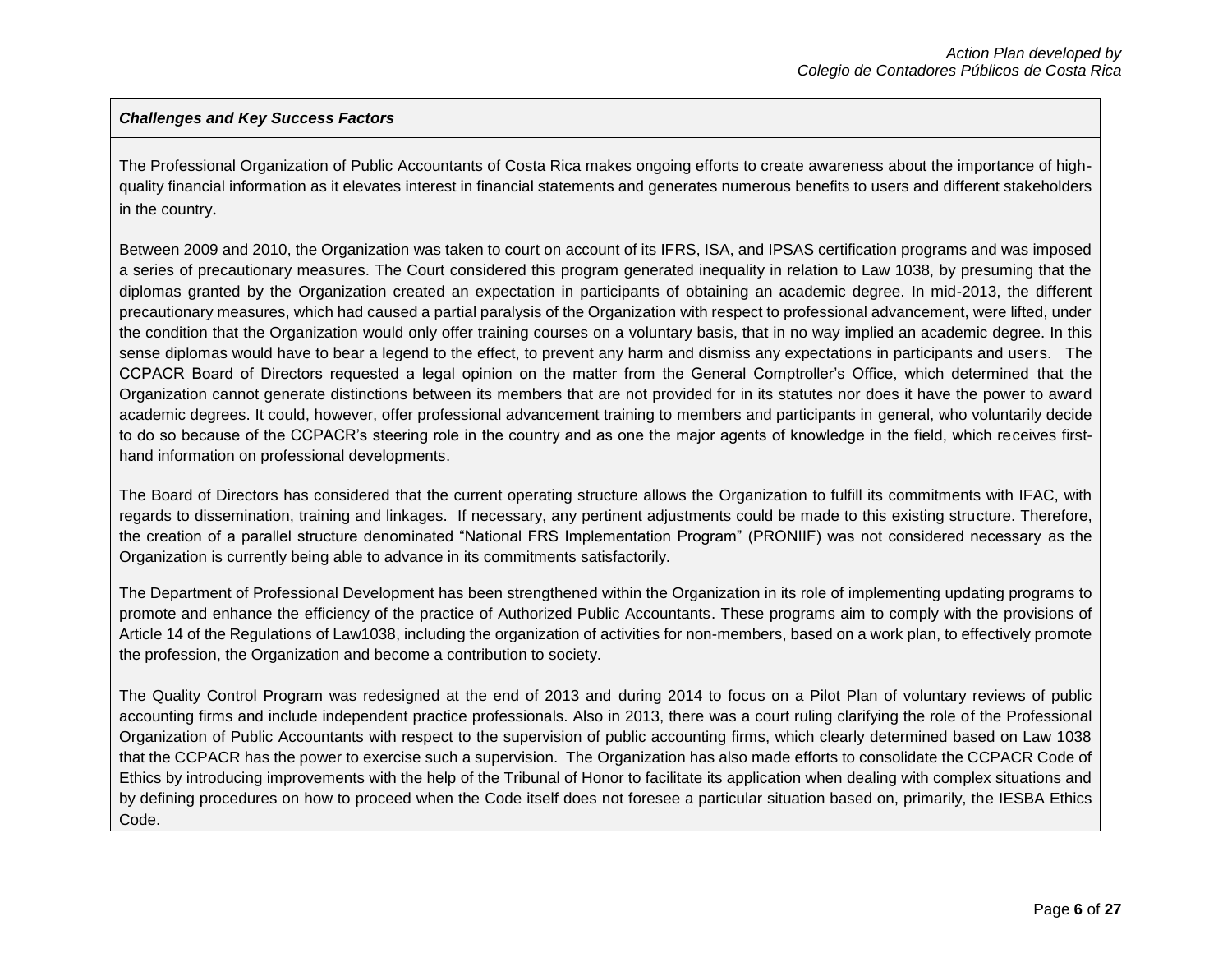## *Challenges and Key Success Factors*

The Professional Organization of Public Accountants of Costa Rica makes ongoing efforts to create awareness about the importance of highquality financial information as it elevates interest in financial statements and generates numerous benefits to users and different stakeholders in the country.

Between 2009 and 2010, the Organization was taken to court on account of its IFRS, ISA, and IPSAS certification programs and was imposed a series of precautionary measures. The Court considered this program generated inequality in relation to Law 1038, by presuming that the diplomas granted by the Organization created an expectation in participants of obtaining an academic degree. In mid-2013, the different precautionary measures, which had caused a partial paralysis of the Organization with respect to professional advancement, were lifted, under the condition that the Organization would only offer training courses on a voluntary basis, that in no way implied an academic degree. In this sense diplomas would have to bear a legend to the effect, to prevent any harm and dismiss any expectations in participants and users. The CCPACR Board of Directors requested a legal opinion on the matter from the General Comptroller's Office, which determined that the Organization cannot generate distinctions between its members that are not provided for in its statutes nor does it have the power to award academic degrees. It could, however, offer professional advancement training to members and participants in general, who voluntarily decide to do so because of the CCPACR's steering role in the country and as one the major agents of knowledge in the field, which receives firsthand information on professional developments.

The Board of Directors has considered that the current operating structure allows the Organization to fulfill its commitments with IFAC, with regards to dissemination, training and linkages. If necessary, any pertinent adjustments could be made to this existing structure. Therefore, the creation of a parallel structure denominated "National FRS Implementation Program" (PRONIIF) was not considered necessary as the Organization is currently being able to advance in its commitments satisfactorily.

The Department of Professional Development has been strengthened within the Organization in its role of implementing updating programs to promote and enhance the efficiency of the practice of Authorized Public Accountants. These programs aim to comply with the provisions of Article 14 of the Regulations of Law1038, including the organization of activities for non-members, based on a work plan, to effectively promote the profession, the Organization and become a contribution to society.

The Quality Control Program was redesigned at the end of 2013 and during 2014 to focus on a Pilot Plan of voluntary reviews of public accounting firms and include independent practice professionals. Also in 2013, there was a court ruling clarifying the role of the Professional Organization of Public Accountants with respect to the supervision of public accounting firms, which clearly determined based on Law 1038 that the CCPACR has the power to exercise such a supervision. The Organization has also made efforts to consolidate the CCPACR Code of Ethics by introducing improvements with the help of the Tribunal of Honor to facilitate its application when dealing with complex situations and by defining procedures on how to proceed when the Code itself does not foresee a particular situation based on, primarily, the IESBA Ethics Code.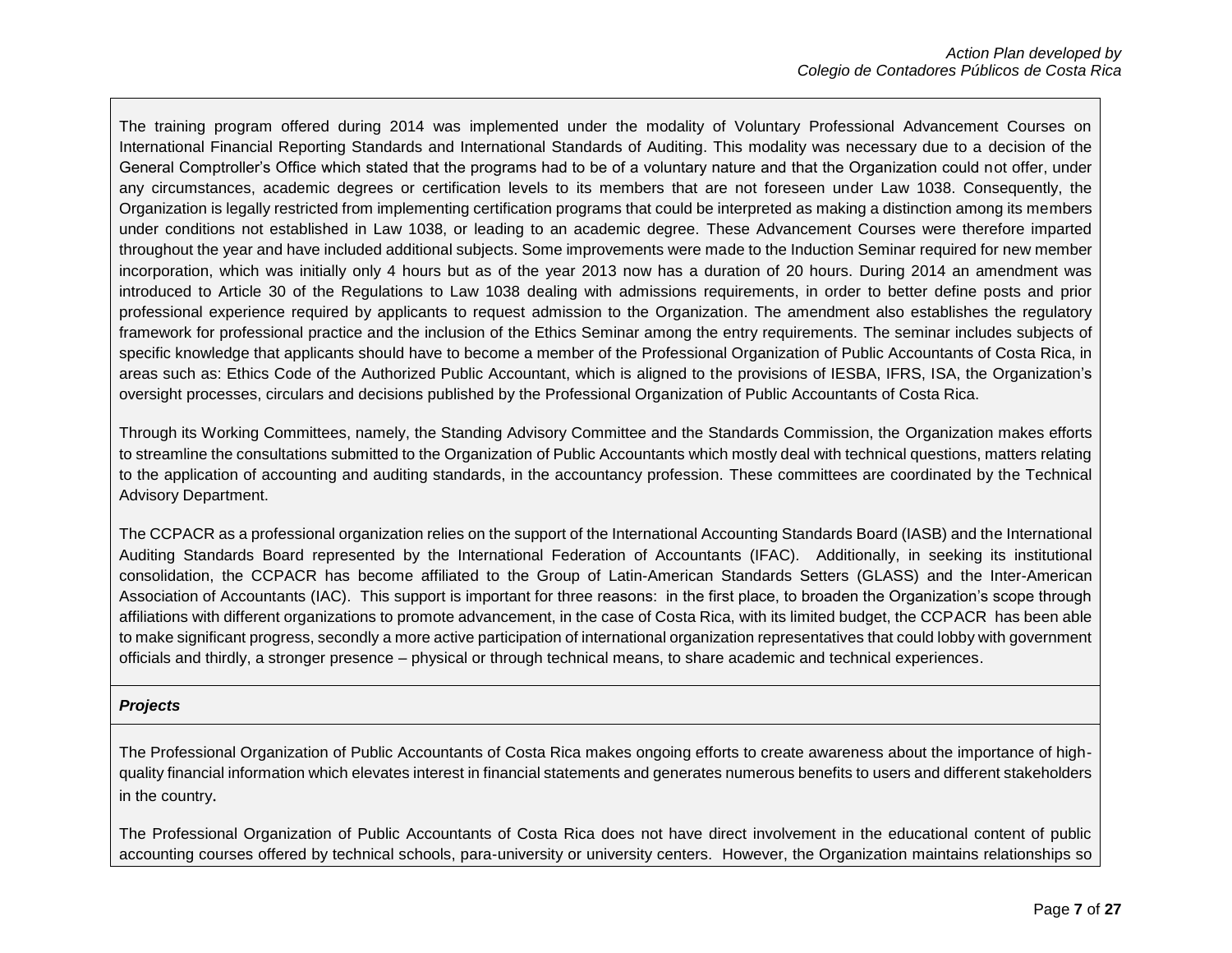The training program offered during 2014 was implemented under the modality of Voluntary Professional Advancement Courses on International Financial Reporting Standards and International Standards of Auditing. This modality was necessary due to a decision of the General Comptroller's Office which stated that the programs had to be of a voluntary nature and that the Organization could not offer, under any circumstances, academic degrees or certification levels to its members that are not foreseen under Law 1038. Consequently, the Organization is legally restricted from implementing certification programs that could be interpreted as making a distinction among its members under conditions not established in Law 1038, or leading to an academic degree. These Advancement Courses were therefore imparted throughout the year and have included additional subjects. Some improvements were made to the Induction Seminar required for new member incorporation, which was initially only 4 hours but as of the year 2013 now has a duration of 20 hours. During 2014 an amendment was introduced to Article 30 of the Regulations to Law 1038 dealing with admissions requirements, in order to better define posts and prior professional experience required by applicants to request admission to the Organization. The amendment also establishes the regulatory framework for professional practice and the inclusion of the Ethics Seminar among the entry requirements. The seminar includes subjects of specific knowledge that applicants should have to become a member of the Professional Organization of Public Accountants of Costa Rica, in areas such as: Ethics Code of the Authorized Public Accountant, which is aligned to the provisions of IESBA, IFRS, ISA, the Organization's oversight processes, circulars and decisions published by the Professional Organization of Public Accountants of Costa Rica.

Through its Working Committees, namely, the Standing Advisory Committee and the Standards Commission, the Organization makes efforts to streamline the consultations submitted to the Organization of Public Accountants which mostly deal with technical questions, matters relating to the application of accounting and auditing standards, in the accountancy profession. These committees are coordinated by the Technical Advisory Department.

The CCPACR as a professional organization relies on the support of the International Accounting Standards Board (IASB) and the International Auditing Standards Board represented by the International Federation of Accountants (IFAC). Additionally, in seeking its institutional consolidation, the CCPACR has become affiliated to the Group of Latin-American Standards Setters (GLASS) and the Inter-American Association of Accountants (IAC). This support is important for three reasons: in the first place, to broaden the Organization's scope through affiliations with different organizations to promote advancement, in the case of Costa Rica, with its limited budget, the CCPACR has been able to make significant progress, secondly a more active participation of international organization representatives that could lobby with government officials and thirdly, a stronger presence – physical or through technical means, to share academic and technical experiences.

### *Projects*

The Professional Organization of Public Accountants of Costa Rica makes ongoing efforts to create awareness about the importance of highquality financial information which elevates interest in financial statements and generates numerous benefits to users and different stakeholders in the country.

The Professional Organization of Public Accountants of Costa Rica does not have direct involvement in the educational content of public accounting courses offered by technical schools, para-university or university centers. However, the Organization maintains relationships so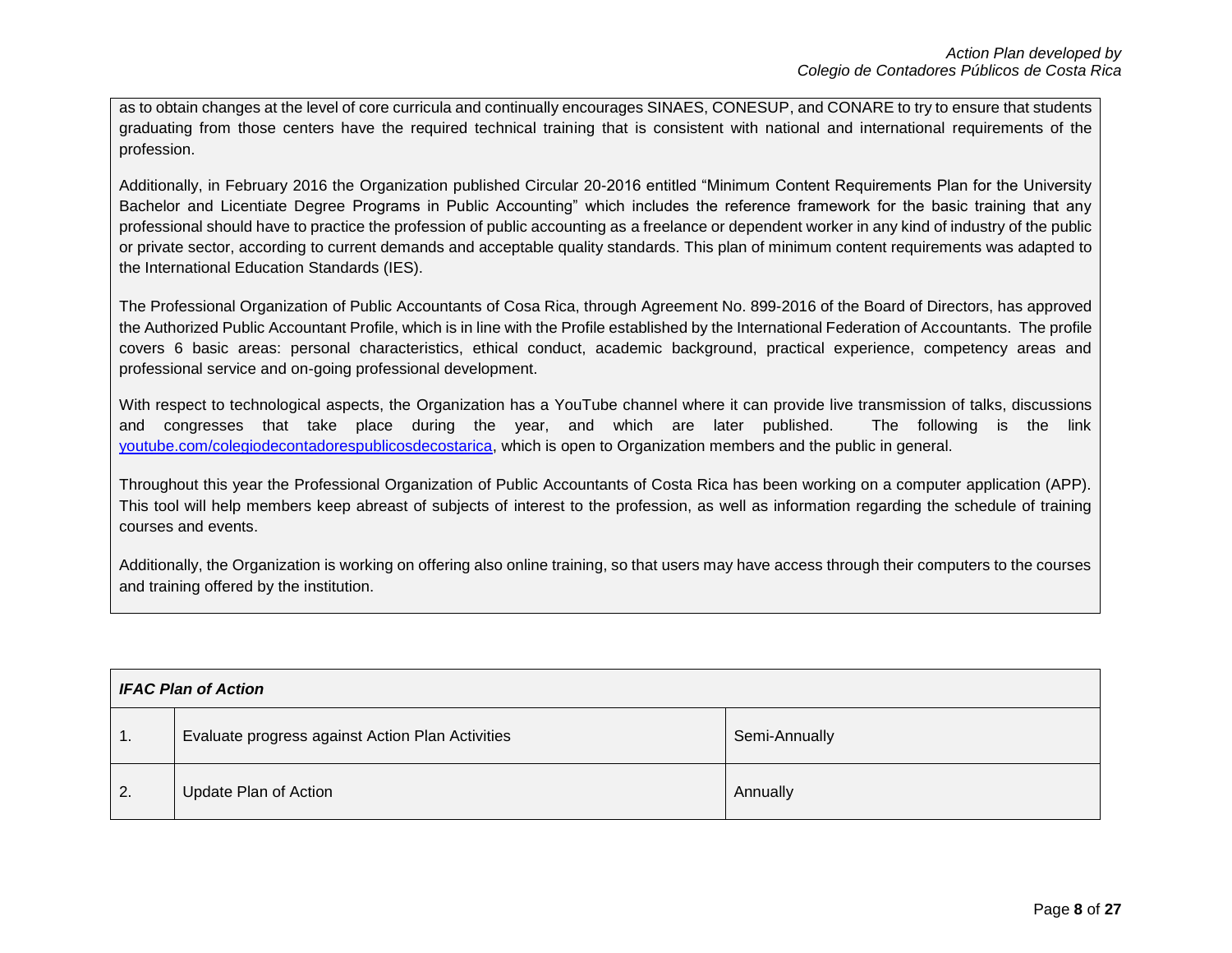as to obtain changes at the level of core curricula and continually encourages SINAES, CONESUP, and CONARE to try to ensure that students graduating from those centers have the required technical training that is consistent with national and international requirements of the profession.

Additionally, in February 2016 the Organization published Circular 20-2016 entitled "Minimum Content Requirements Plan for the University Bachelor and Licentiate Degree Programs in Public Accounting" which includes the reference framework for the basic training that any professional should have to practice the profession of public accounting as a freelance or dependent worker in any kind of industry of the public or private sector, according to current demands and acceptable quality standards. This plan of minimum content requirements was adapted to the International Education Standards (IES).

The Professional Organization of Public Accountants of Cosa Rica, through Agreement No. 899-2016 of the Board of Directors, has approved the Authorized Public Accountant Profile, which is in line with the Profile established by the International Federation of Accountants. The profile covers 6 basic areas: personal characteristics, ethical conduct, academic background, practical experience, competency areas and professional service and on-going professional development.

With respect to technological aspects, the Organization has a YouTube channel where it can provide live transmission of talks, discussions and congresses that take place during the year, and which are later published. The following is the link [youtube.com/colegiodecontadorespublicosdecostarica,](http://youtube.com/colegiodecontadorespublicosdecostarica) which is open to Organization members and the public in general.

Throughout this year the Professional Organization of Public Accountants of Costa Rica has been working on a computer application (APP). This tool will help members keep abreast of subjects of interest to the profession, as well as information regarding the schedule of training courses and events.

Additionally, the Organization is working on offering also online training, so that users may have access through their computers to the courses and training offered by the institution.

| <b>IFAC Plan of Action</b> |                                                  |               |
|----------------------------|--------------------------------------------------|---------------|
| $\vert$ 1.                 | Evaluate progress against Action Plan Activities | Semi-Annually |
| $\overline{2}$ .           | Update Plan of Action                            | Annually      |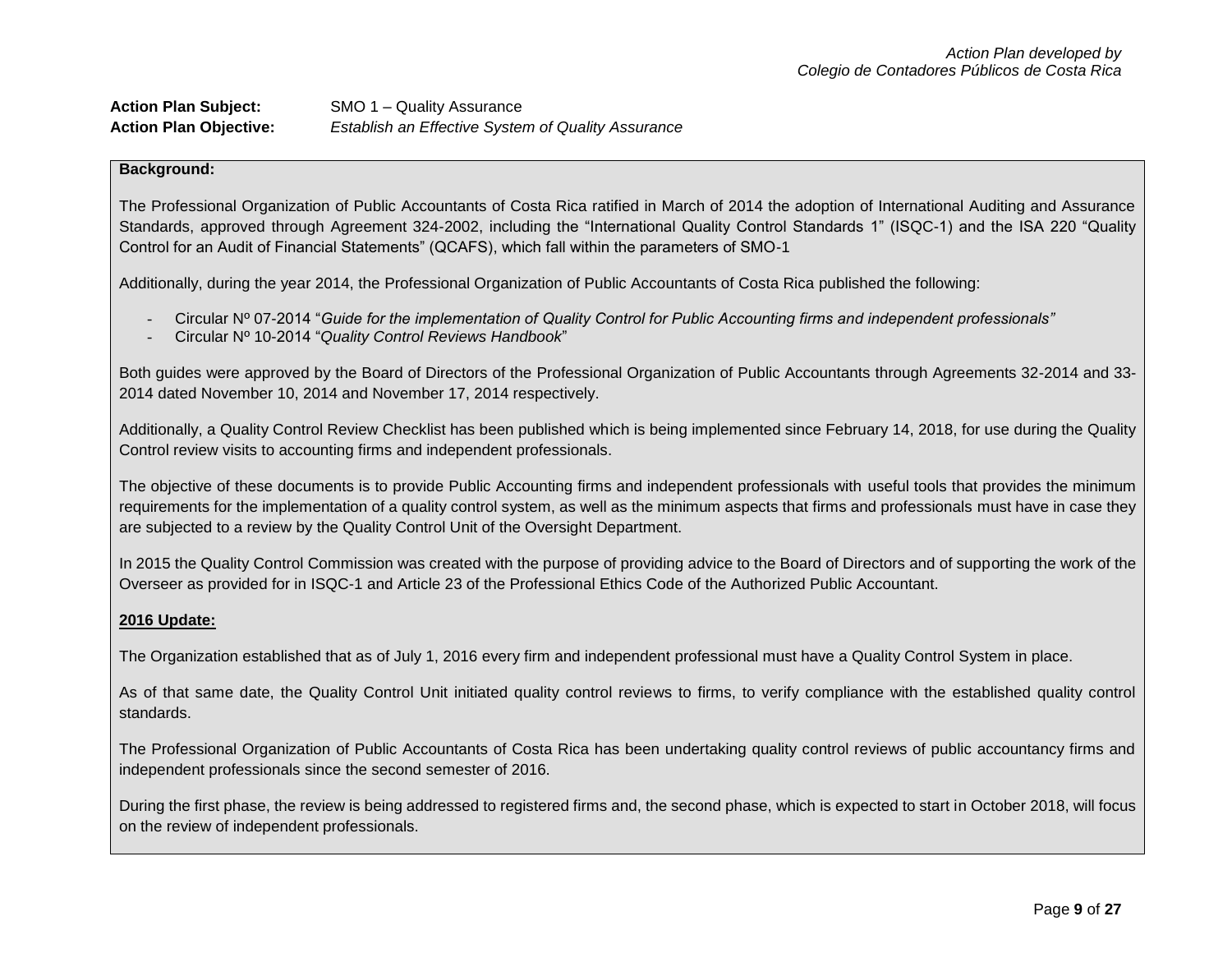| <b>Action Plan Subject:</b>   | SMO 1 – Quality Assurance                          |
|-------------------------------|----------------------------------------------------|
| <b>Action Plan Objective:</b> | Establish an Effective System of Quality Assurance |

The Professional Organization of Public Accountants of Costa Rica ratified in March of 2014 the adoption of International Auditing and Assurance Standards, approved through Agreement 324-2002, including the "International Quality Control Standards 1" (ISQC-1) and the ISA 220 "Quality Control for an Audit of Financial Statements" (QCAFS), which fall within the parameters of SMO-1

Additionally, during the year 2014, the Professional Organization of Public Accountants of Costa Rica published the following:

- Circular Nº 07-2014 "*Guide for the implementation of Quality Control for Public Accounting firms and independent professionals"*
- Circular Nº 10-2014 "*Quality Control Reviews Handbook*"

Both guides were approved by the Board of Directors of the Professional Organization of Public Accountants through Agreements 32-2014 and 33- 2014 dated November 10, 2014 and November 17, 2014 respectively.

Additionally, a Quality Control Review Checklist has been published which is being implemented since February 14, 2018, for use during the Quality Control review visits to accounting firms and independent professionals.

The objective of these documents is to provide Public Accounting firms and independent professionals with useful tools that provides the minimum requirements for the implementation of a quality control system, as well as the minimum aspects that firms and professionals must have in case they are subjected to a review by the Quality Control Unit of the Oversight Department.

In 2015 the Quality Control Commission was created with the purpose of providing advice to the Board of Directors and of supporting the work of the Overseer as provided for in ISQC-1 and Article 23 of the Professional Ethics Code of the Authorized Public Accountant.

## **2016 Update:**

The Organization established that as of July 1, 2016 every firm and independent professional must have a Quality Control System in place.

As of that same date, the Quality Control Unit initiated quality control reviews to firms, to verify compliance with the established quality control standards.

The Professional Organization of Public Accountants of Costa Rica has been undertaking quality control reviews of public accountancy firms and independent professionals since the second semester of 2016.

During the first phase, the review is being addressed to registered firms and, the second phase, which is expected to start in October 2018, will focus on the review of independent professionals.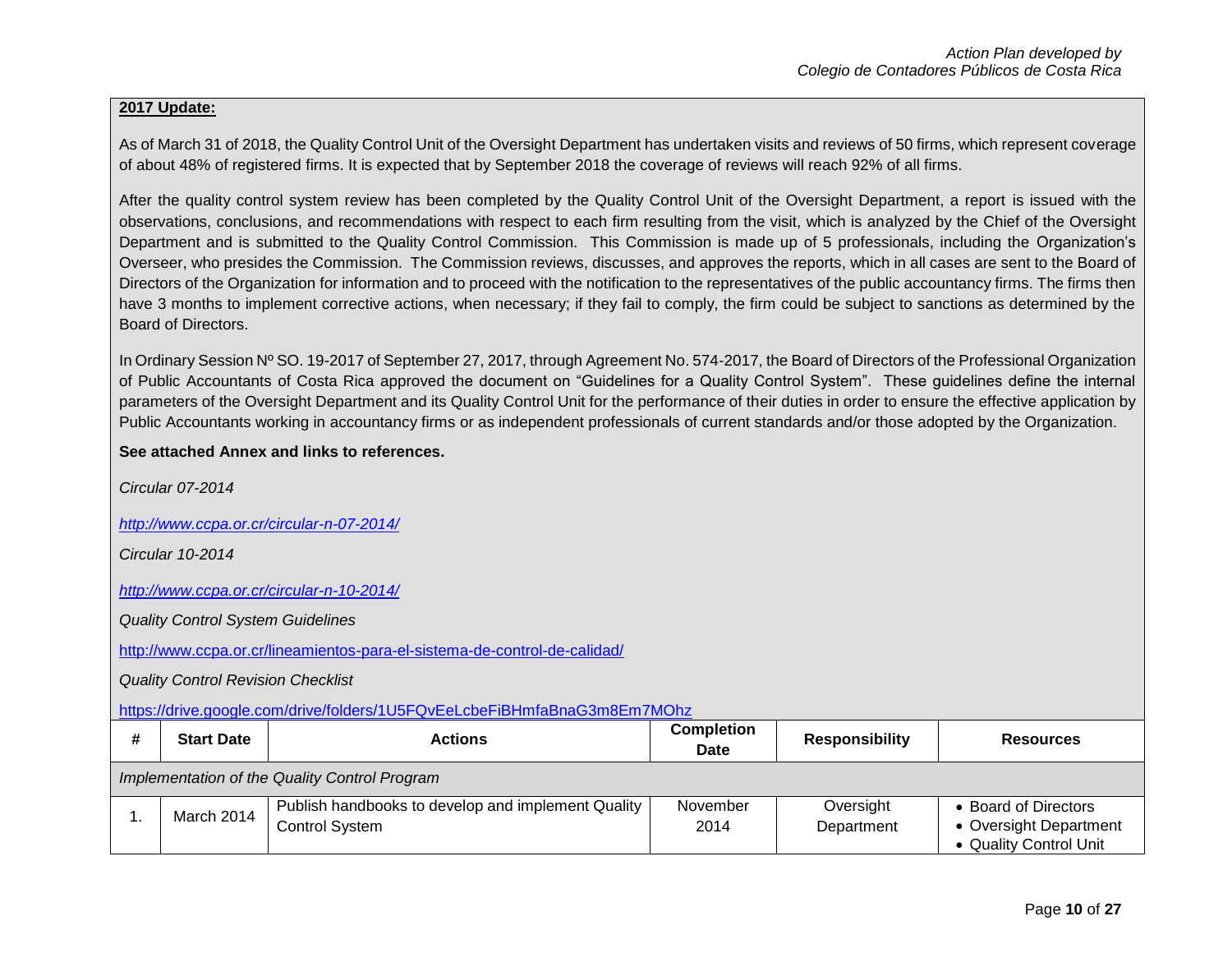## **2017 Update:**

As of March 31 of 2018, the Quality Control Unit of the Oversight Department has undertaken visits and reviews of 50 firms, which represent coverage of about 48% of registered firms. It is expected that by September 2018 the coverage of reviews will reach 92% of all firms.

After the quality control system review has been completed by the Quality Control Unit of the Oversight Department, a report is issued with the observations, conclusions, and recommendations with respect to each firm resulting from the visit, which is analyzed by the Chief of the Oversight Department and is submitted to the Quality Control Commission. This Commission is made up of 5 professionals, including the Organization's Overseer, who presides the Commission. The Commission reviews, discusses, and approves the reports, which in all cases are sent to the Board of Directors of the Organization for information and to proceed with the notification to the representatives of the public accountancy firms. The firms then have 3 months to implement corrective actions, when necessary; if they fail to comply, the firm could be subject to sanctions as determined by the Board of Directors.

In Ordinary Session Nº SO. 19-2017 of September 27, 2017, through Agreement No. 574-2017, the Board of Directors of the Professional Organization of Public Accountants of Costa Rica approved the document on "Guidelines for a Quality Control System". These guidelines define the internal parameters of the Oversight Department and its Quality Control Unit for the performance of their duties in order to ensure the effective application by Public Accountants working in accountancy firms or as independent professionals of current standards and/or those adopted by the Organization.

## **See attached Annex and links to references.**

*Circular 07-2014*

*<http://www.ccpa.or.cr/circular-n-07-2014/>*

*Circular 10-2014*

*<http://www.ccpa.or.cr/circular-n-10-2014/>*

*Quality Control System Guidelines*

<http://www.ccpa.or.cr/lineamientos-para-el-sistema-de-control-de-calidad/>

*Quality Control Revision Checklist* 

<https://drive.google.com/drive/folders/1U5FQvEeLcbeFiBHmfaBnaG3m8Em7MOhz>

| <b>Start Date</b>                             | <b>Actions</b>                                                              | <b>Completion</b><br>Date | <b>Responsibility</b>   | <b>Resources</b>                                                         |
|-----------------------------------------------|-----------------------------------------------------------------------------|---------------------------|-------------------------|--------------------------------------------------------------------------|
| Implementation of the Quality Control Program |                                                                             |                           |                         |                                                                          |
| March 2014                                    | Publish handbooks to develop and implement Quality<br><b>Control System</b> | November<br>2014          | Oversight<br>Department | • Board of Directors<br>• Oversight Department<br>• Quality Control Unit |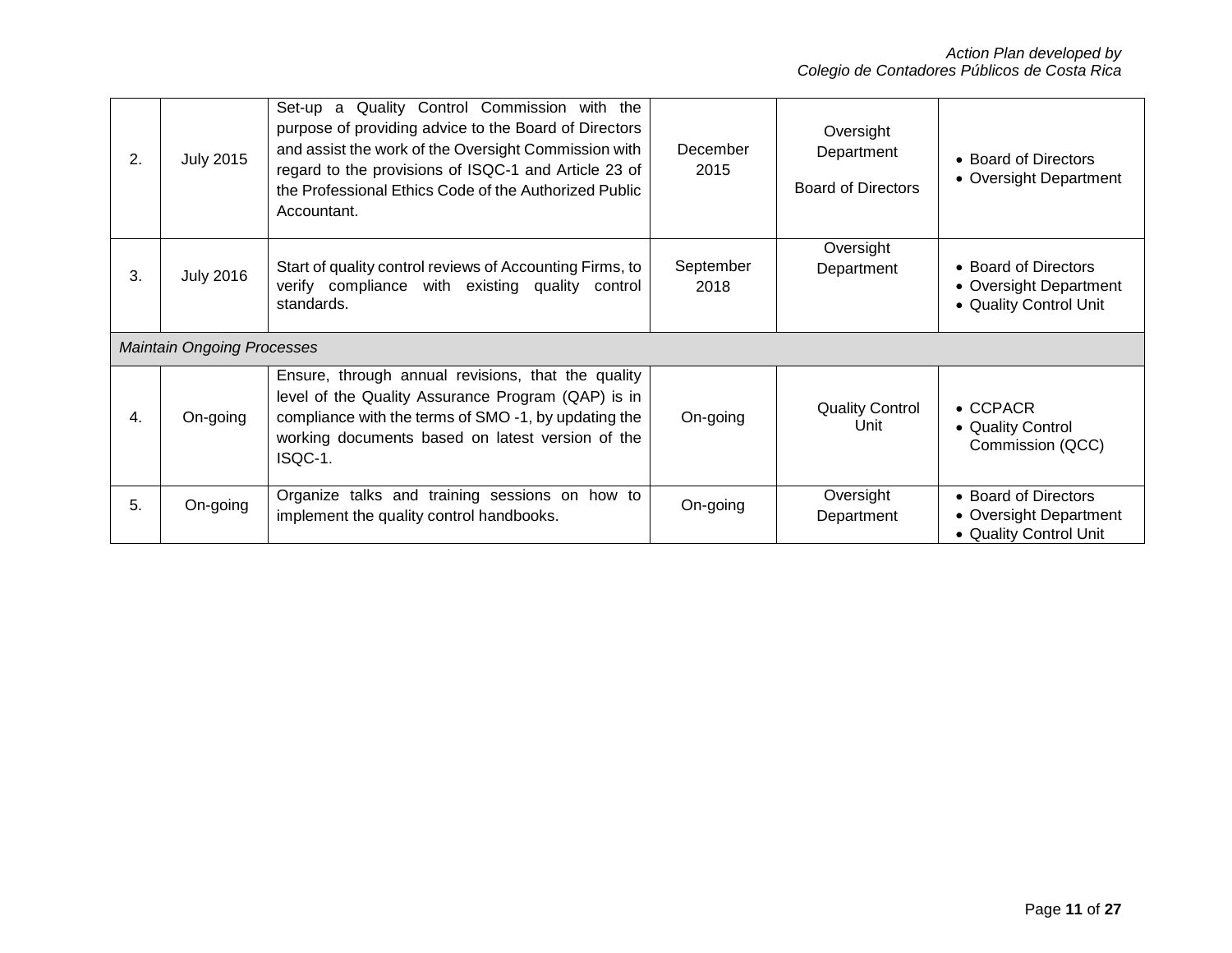| 2. | <b>July 2015</b>                  | Set-up a Quality Control Commission with the<br>purpose of providing advice to the Board of Directors<br>and assist the work of the Oversight Commission with<br>regard to the provisions of ISQC-1 and Article 23 of<br>the Professional Ethics Code of the Authorized Public<br>Accountant. | December<br>2015  | Oversight<br>Department<br><b>Board of Directors</b>      | • Board of Directors<br>• Oversight Department                           |
|----|-----------------------------------|-----------------------------------------------------------------------------------------------------------------------------------------------------------------------------------------------------------------------------------------------------------------------------------------------|-------------------|-----------------------------------------------------------|--------------------------------------------------------------------------|
| 3. | <b>July 2016</b>                  | Start of quality control reviews of Accounting Firms, to<br>verify compliance with existing quality control<br>standards.                                                                                                                                                                     | September<br>2018 | Oversight<br>Department                                   | • Board of Directors<br>• Oversight Department<br>• Quality Control Unit |
|    | <b>Maintain Ongoing Processes</b> |                                                                                                                                                                                                                                                                                               |                   |                                                           |                                                                          |
| 4. | On-going                          | Ensure, through annual revisions, that the quality<br>level of the Quality Assurance Program (QAP) is in<br><b>Quality Control</b><br>compliance with the terms of SMO -1, by updating the<br>On-going<br>Unit<br>working documents based on latest version of the<br>ISQC-1.                 |                   | $\bullet$ CCPACR<br>• Quality Control<br>Commission (QCC) |                                                                          |
| 5. | On-going                          | Organize talks and training sessions on how to<br>implement the quality control handbooks.                                                                                                                                                                                                    | On-going          | Oversight<br>Department                                   | • Board of Directors<br>• Oversight Department<br>• Quality Control Unit |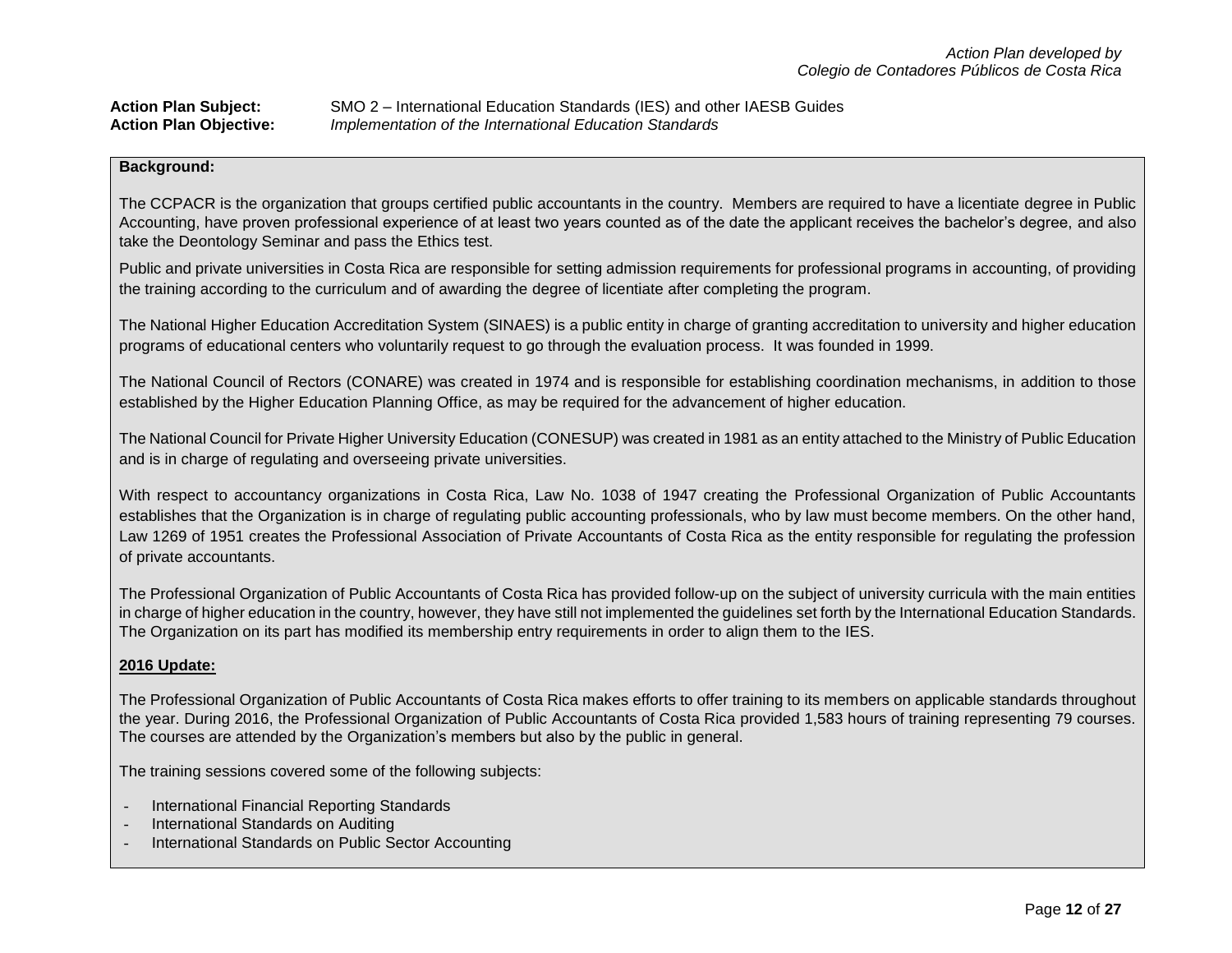| <b>Action Plan Subject:</b>   | SMO 2 – International Education Standards (IES) and other IAESB Guides |
|-------------------------------|------------------------------------------------------------------------|
| <b>Action Plan Objective:</b> | Implementation of the International Education Standards                |

The CCPACR is the organization that groups certified public accountants in the country. Members are required to have a licentiate degree in Public Accounting, have proven professional experience of at least two years counted as of the date the applicant receives the bachelor's degree, and also take the Deontology Seminar and pass the Ethics test.

Public and private universities in Costa Rica are responsible for setting admission requirements for professional programs in accounting, of providing the training according to the curriculum and of awarding the degree of licentiate after completing the program.

The National Higher Education Accreditation System (SINAES) is a public entity in charge of granting accreditation to university and higher education programs of educational centers who voluntarily request to go through the evaluation process. It was founded in 1999.

The National Council of Rectors (CONARE) was created in 1974 and is responsible for establishing coordination mechanisms, in addition to those established by the Higher Education Planning Office, as may be required for the advancement of higher education.

The National Council for Private Higher University Education (CONESUP) was created in 1981 as an entity attached to the Ministry of Public Education and is in charge of regulating and overseeing private universities.

With respect to accountancy organizations in Costa Rica, Law No. 1038 of 1947 creating the Professional Organization of Public Accountants establishes that the Organization is in charge of regulating public accounting professionals, who by law must become members. On the other hand, Law 1269 of 1951 creates the Professional Association of Private Accountants of Costa Rica as the entity responsible for regulating the profession of private accountants.

The Professional Organization of Public Accountants of Costa Rica has provided follow-up on the subject of university curricula with the main entities in charge of higher education in the country, however, they have still not implemented the guidelines set forth by the International Education Standards. The Organization on its part has modified its membership entry requirements in order to align them to the IES.

### **2016 Update:**

The Professional Organization of Public Accountants of Costa Rica makes efforts to offer training to its members on applicable standards throughout the year. During 2016, the Professional Organization of Public Accountants of Costa Rica provided 1,583 hours of training representing 79 courses. The courses are attended by the Organization's members but also by the public in general.

The training sessions covered some of the following subjects:

- International Financial Reporting Standards
- International Standards on Auditing
- International Standards on Public Sector Accounting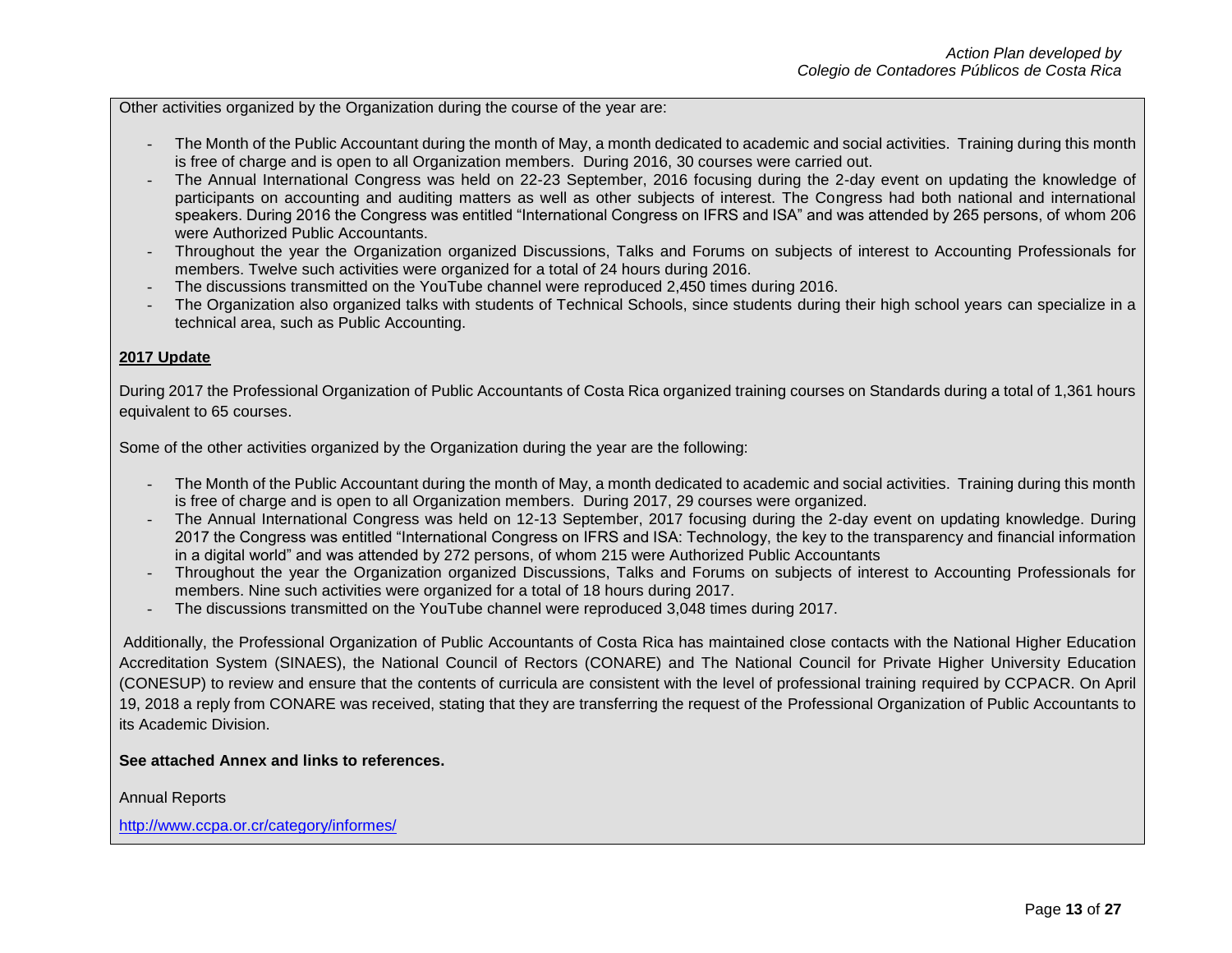Other activities organized by the Organization during the course of the year are:

- The Month of the Public Accountant during the month of May, a month dedicated to academic and social activities. Training during this month is free of charge and is open to all Organization members. During 2016, 30 courses were carried out.
- The Annual International Congress was held on 22-23 September, 2016 focusing during the 2-day event on updating the knowledge of participants on accounting and auditing matters as well as other subjects of interest. The Congress had both national and international speakers. During 2016 the Congress was entitled "International Congress on IFRS and ISA" and was attended by 265 persons, of whom 206 were Authorized Public Accountants.
- Throughout the year the Organization organized Discussions, Talks and Forums on subjects of interest to Accounting Professionals for members. Twelve such activities were organized for a total of 24 hours during 2016.
- The discussions transmitted on the YouTube channel were reproduced 2,450 times during 2016.
- The Organization also organized talks with students of Technical Schools, since students during their high school years can specialize in a technical area, such as Public Accounting.

### **2017 Update**

During 2017 the Professional Organization of Public Accountants of Costa Rica organized training courses on Standards during a total of 1,361 hours equivalent to 65 courses.

Some of the other activities organized by the Organization during the year are the following:

- The Month of the Public Accountant during the month of May, a month dedicated to academic and social activities. Training during this month is free of charge and is open to all Organization members. During 2017, 29 courses were organized.
- The Annual International Congress was held on 12-13 September, 2017 focusing during the 2-day event on updating knowledge. During 2017 the Congress was entitled "International Congress on IFRS and ISA: Technology, the key to the transparency and financial information in a digital world" and was attended by 272 persons, of whom 215 were Authorized Public Accountants
- Throughout the year the Organization organized Discussions, Talks and Forums on subjects of interest to Accounting Professionals for members. Nine such activities were organized for a total of 18 hours during 2017.
- The discussions transmitted on the YouTube channel were reproduced 3,048 times during 2017.

Additionally, the Professional Organization of Public Accountants of Costa Rica has maintained close contacts with the National Higher Education Accreditation System (SINAES), the National Council of Rectors (CONARE) and The National Council for Private Higher University Education (CONESUP) to review and ensure that the contents of curricula are consistent with the level of professional training required by CCPACR. On April 19, 2018 a reply from CONARE was received, stating that they are transferring the request of the Professional Organization of Public Accountants to its Academic Division.

### **See attached Annex and links to references.**

Annual Reports

<http://www.ccpa.or.cr/category/informes/>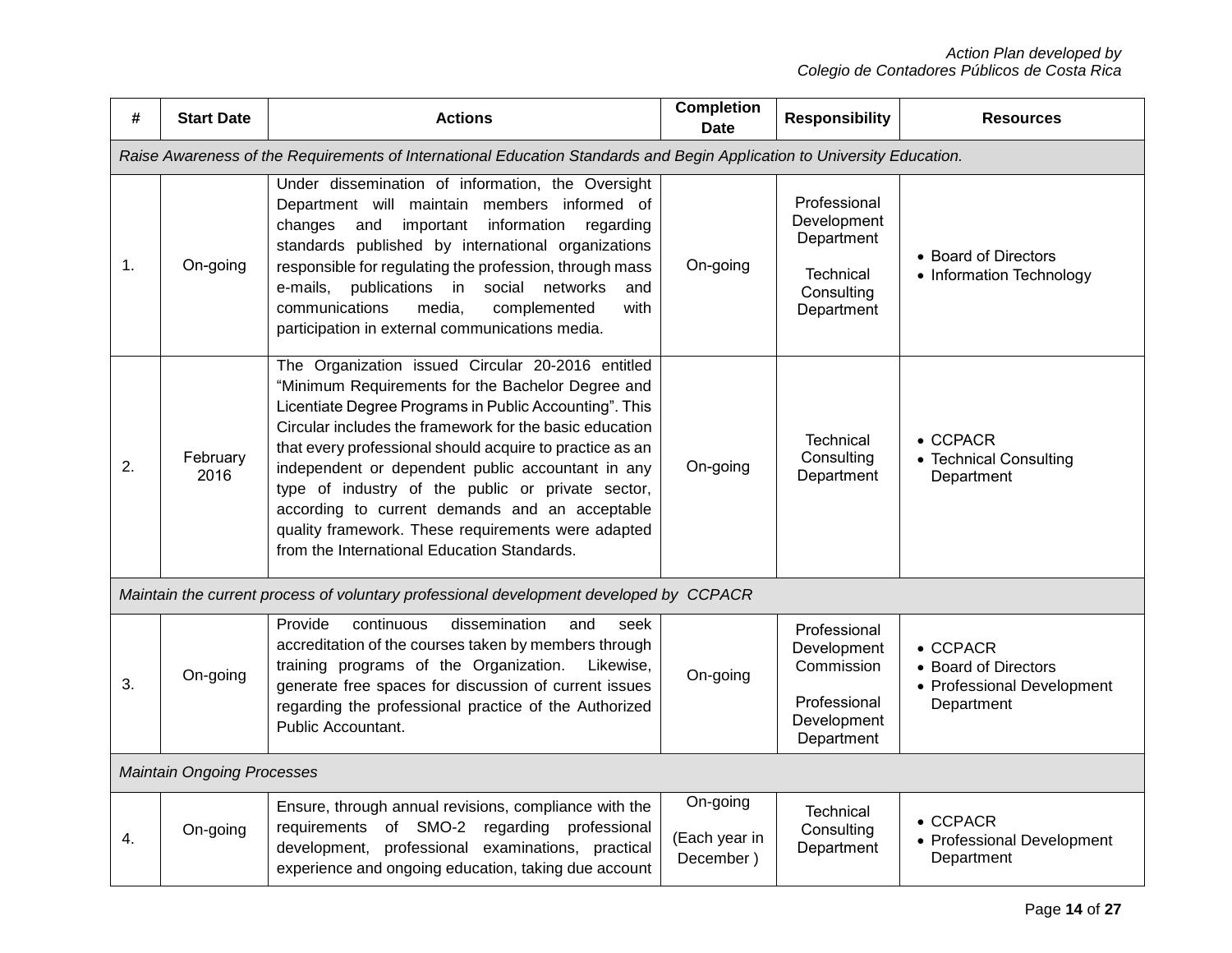| #  | <b>Start Date</b>                 | <b>Actions</b>                                                                                                                                                                                                                                                                                                                                                                                                                                                                                                                                           | <b>Completion</b><br><b>Date</b>       | <b>Responsibility</b>                                                                  | <b>Resources</b>                                                                     |
|----|-----------------------------------|----------------------------------------------------------------------------------------------------------------------------------------------------------------------------------------------------------------------------------------------------------------------------------------------------------------------------------------------------------------------------------------------------------------------------------------------------------------------------------------------------------------------------------------------------------|----------------------------------------|----------------------------------------------------------------------------------------|--------------------------------------------------------------------------------------|
|    |                                   | Raise Awareness of the Requirements of International Education Standards and Begin Application to University Education.                                                                                                                                                                                                                                                                                                                                                                                                                                  |                                        |                                                                                        |                                                                                      |
| 1. | On-going                          | Under dissemination of information, the Oversight<br>Department will maintain members informed of<br>changes<br>and<br>important information<br>regarding<br>standards published by international organizations<br>responsible for regulating the profession, through mass<br>e-mails,<br>publications<br>in<br>social<br>networks<br>and<br>communications<br>with<br>media,<br>complemented<br>participation in external communications media.                                                                                                         | On-going                               | Professional<br>Development<br>Department<br>Technical<br>Consulting<br>Department     | • Board of Directors<br>• Information Technology                                     |
| 2. | February<br>2016                  | The Organization issued Circular 20-2016 entitled<br>"Minimum Requirements for the Bachelor Degree and<br>Licentiate Degree Programs in Public Accounting". This<br>Circular includes the framework for the basic education<br>that every professional should acquire to practice as an<br>independent or dependent public accountant in any<br>type of industry of the public or private sector,<br>according to current demands and an acceptable<br>quality framework. These requirements were adapted<br>from the International Education Standards. | On-going                               | <b>Technical</b><br>Consulting<br>Department                                           | $\bullet$ CCPACR<br>• Technical Consulting<br>Department                             |
|    |                                   | Maintain the current process of voluntary professional development developed by CCPACR                                                                                                                                                                                                                                                                                                                                                                                                                                                                   |                                        |                                                                                        |                                                                                      |
| 3. | On-going                          | Provide<br>continuous<br>dissemination<br>and<br>seek<br>accreditation of the courses taken by members through<br>training programs of the Organization.<br>Likewise,<br>generate free spaces for discussion of current issues<br>regarding the professional practice of the Authorized<br>Public Accountant.                                                                                                                                                                                                                                            | On-going                               | Professional<br>Development<br>Commission<br>Professional<br>Development<br>Department | $\bullet$ CCPACR<br>• Board of Directors<br>• Professional Development<br>Department |
|    | <b>Maintain Ongoing Processes</b> |                                                                                                                                                                                                                                                                                                                                                                                                                                                                                                                                                          |                                        |                                                                                        |                                                                                      |
| 4. | On-going                          | Ensure, through annual revisions, compliance with the<br>of SMO-2<br>requirements<br>regarding professional<br>professional examinations, practical<br>development,<br>experience and ongoing education, taking due account                                                                                                                                                                                                                                                                                                                              | On-going<br>(Each year in<br>December) | <b>Technical</b><br>Consulting<br>Department                                           | $\bullet$ CCPACR<br>• Professional Development<br>Department                         |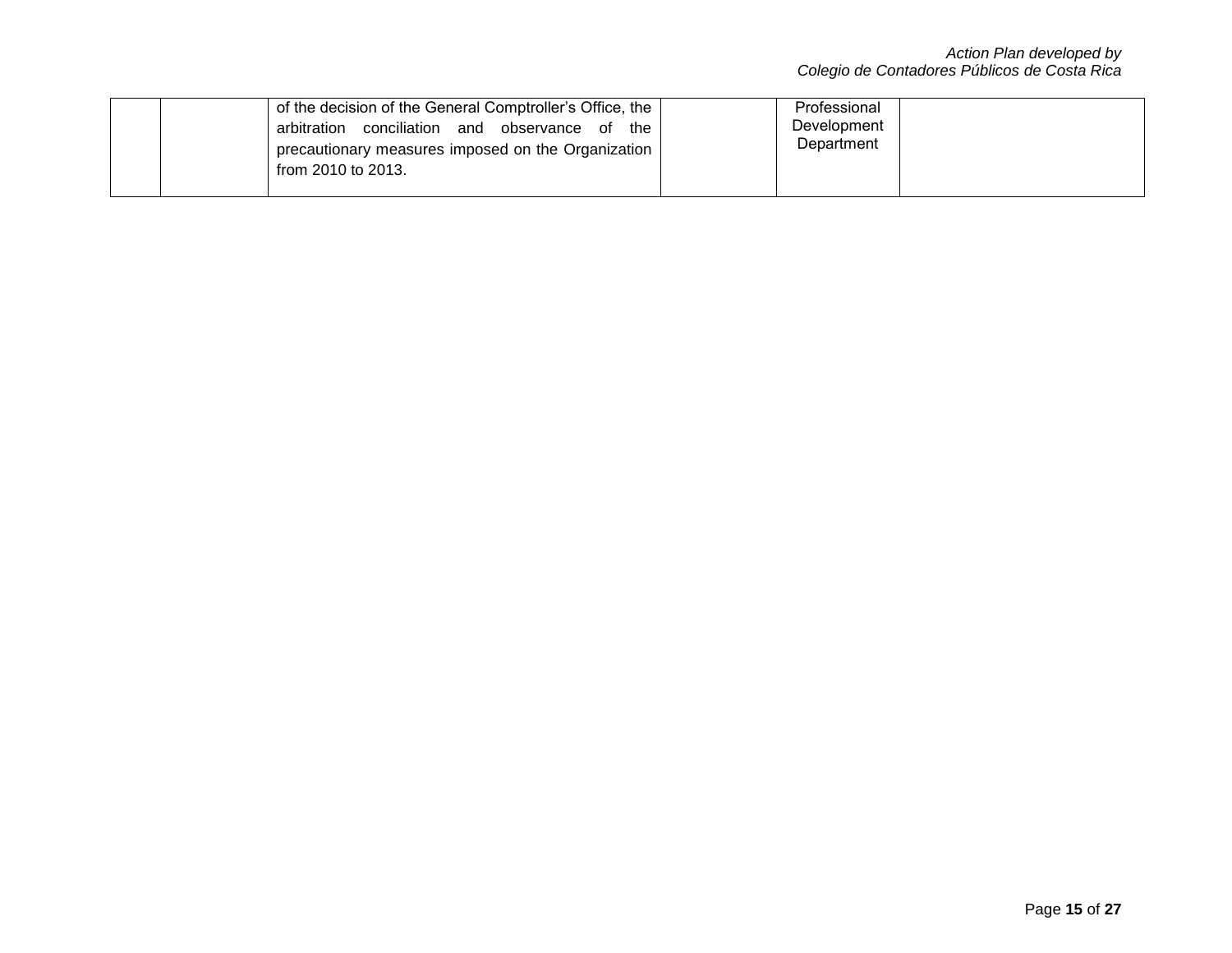|  | of the decision of the General Comptroller's Office, the | Professional |  |
|--|----------------------------------------------------------|--------------|--|
|  | arbitration conciliation and<br>observance of the        | Development  |  |
|  | precautionary measures imposed on the Organization       | Department   |  |
|  | from 2010 to 2013.                                       |              |  |
|  |                                                          |              |  |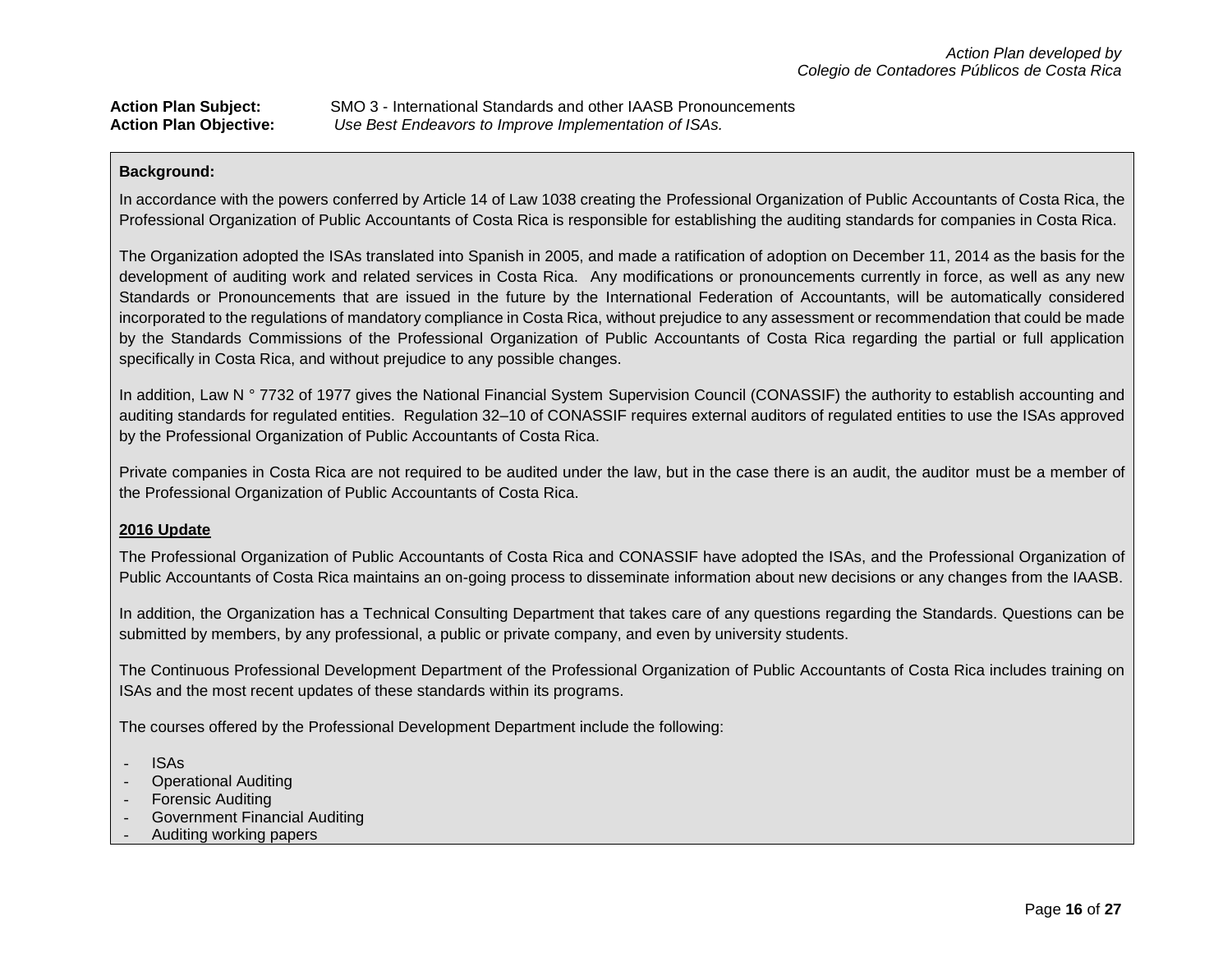| <b>Action Plan Subject:</b>   | SMO 3 - International Standards and other IAASB Pronouncements |
|-------------------------------|----------------------------------------------------------------|
| <b>Action Plan Objective:</b> | Use Best Endeavors to Improve Implementation of ISAs.          |

In accordance with the powers conferred by Article 14 of Law 1038 creating the Professional Organization of Public Accountants of Costa Rica, the Professional Organization of Public Accountants of Costa Rica is responsible for establishing the auditing standards for companies in Costa Rica.

The Organization adopted the ISAs translated into Spanish in 2005, and made a ratification of adoption on December 11, 2014 as the basis for the development of auditing work and related services in Costa Rica. Any modifications or pronouncements currently in force, as well as any new Standards or Pronouncements that are issued in the future by the International Federation of Accountants, will be automatically considered incorporated to the regulations of mandatory compliance in Costa Rica, without prejudice to any assessment or recommendation that could be made by the Standards Commissions of the Professional Organization of Public Accountants of Costa Rica regarding the partial or full application specifically in Costa Rica, and without prejudice to any possible changes.

In addition, Law N ° 7732 of 1977 gives the National Financial System Supervision Council (CONASSIF) the authority to establish accounting and auditing standards for regulated entities. Regulation 32–10 of CONASSIF requires external auditors of regulated entities to use the ISAs approved by the Professional Organization of Public Accountants of Costa Rica.

Private companies in Costa Rica are not required to be audited under the law, but in the case there is an audit, the auditor must be a member of the Professional Organization of Public Accountants of Costa Rica.

### **2016 Update**

The Professional Organization of Public Accountants of Costa Rica and CONASSIF have adopted the ISAs, and the Professional Organization of Public Accountants of Costa Rica maintains an on-going process to disseminate information about new decisions or any changes from the IAASB.

In addition, the Organization has a Technical Consulting Department that takes care of any questions regarding the Standards. Questions can be submitted by members, by any professional, a public or private company, and even by university students.

The Continuous Professional Development Department of the Professional Organization of Public Accountants of Costa Rica includes training on ISAs and the most recent updates of these standards within its programs.

The courses offered by the Professional Development Department include the following:

- ISAs
- Operational Auditing
- **Forensic Auditing**
- Government Financial Auditing
- Auditing working papers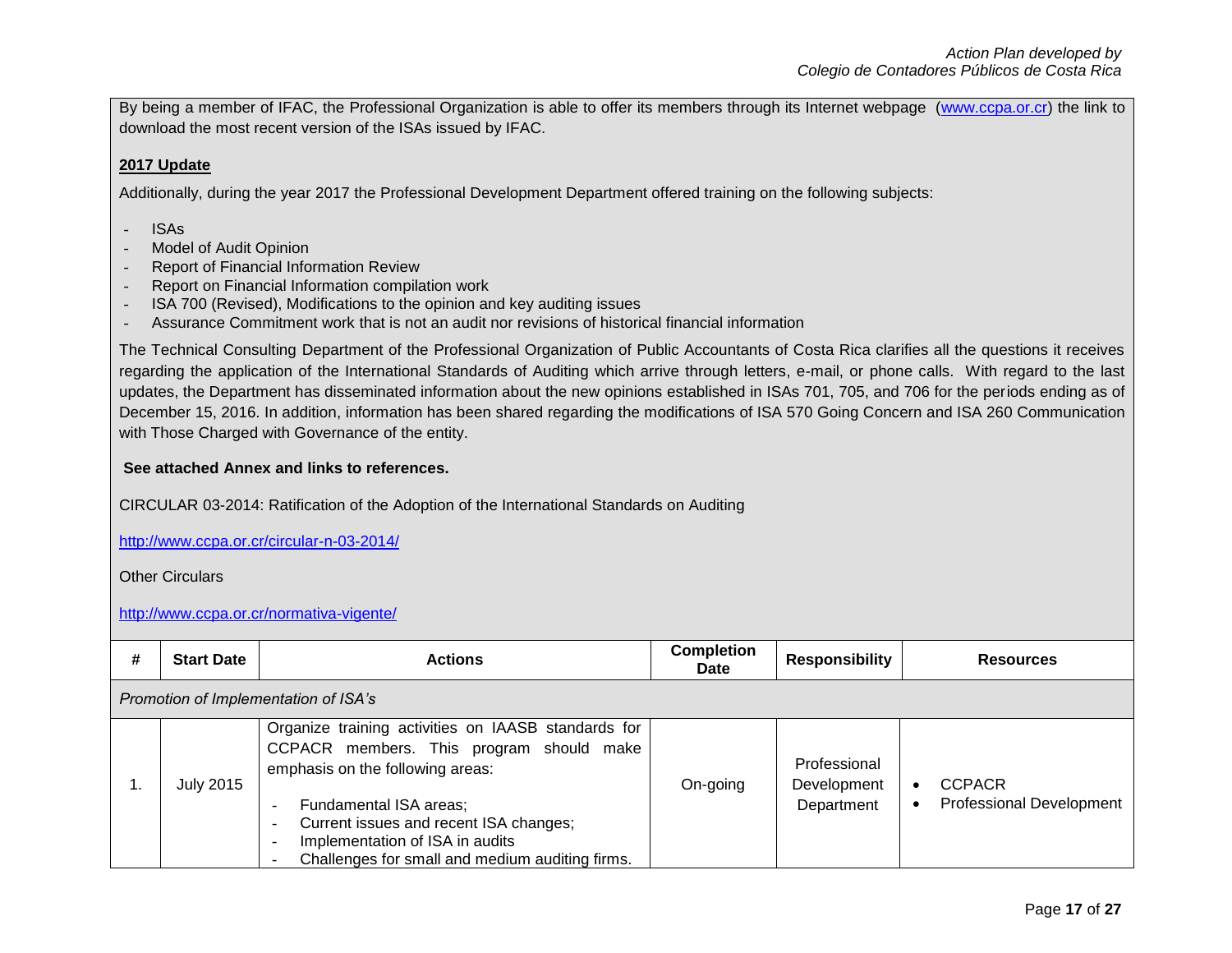By being a member of IFAC, the Professional Organization is able to offer its members through its Internet webpage [\(www.ccpa.or.cr\)](http://www.ccpa.or.cr/) the link to download the most recent version of the ISAs issued by IFAC.

## **2017 Update**

Additionally, during the year 2017 the Professional Development Department offered training on the following subjects:

- ISAs
- Model of Audit Opinion
- Report of Financial Information Review
- Report on Financial Information compilation work
- ISA 700 (Revised), Modifications to the opinion and key auditing issues
- Assurance Commitment work that is not an audit nor revisions of historical financial information

The Technical Consulting Department of the Professional Organization of Public Accountants of Costa Rica clarifies all the questions it receives regarding the application of the International Standards of Auditing which arrive through letters, e-mail, or phone calls. With regard to the last updates, the Department has disseminated information about the new opinions established in ISAs 701, 705, and 706 for the periods ending as of December 15, 2016. In addition, information has been shared regarding the modifications of ISA 570 Going Concern and ISA 260 Communication with Those Charged with Governance of the entity.

## **See attached Annex and links to references.**

CIRCULAR 03-2014: Ratification of the Adoption of the International Standards on Auditing

<http://www.ccpa.or.cr/circular-n-03-2014/>

Other Circulars

## <http://www.ccpa.or.cr/normativa-vigente/>

| # | <b>Start Date</b>                    | <b>Actions</b>                                                                                                                                                                                                                                                                                | <b>Completion</b><br>Date | <b>Responsibility</b>                     | <b>Resources</b>                                 |
|---|--------------------------------------|-----------------------------------------------------------------------------------------------------------------------------------------------------------------------------------------------------------------------------------------------------------------------------------------------|---------------------------|-------------------------------------------|--------------------------------------------------|
|   | Promotion of Implementation of ISA's |                                                                                                                                                                                                                                                                                               |                           |                                           |                                                  |
|   | <b>July 2015</b>                     | Organize training activities on IAASB standards for<br>CCPACR members. This program should make<br>emphasis on the following areas:<br>Fundamental ISA areas;<br>Current issues and recent ISA changes;<br>Implementation of ISA in audits<br>Challenges for small and medium auditing firms. | On-going                  | Professional<br>Development<br>Department | <b>CCPACR</b><br><b>Professional Development</b> |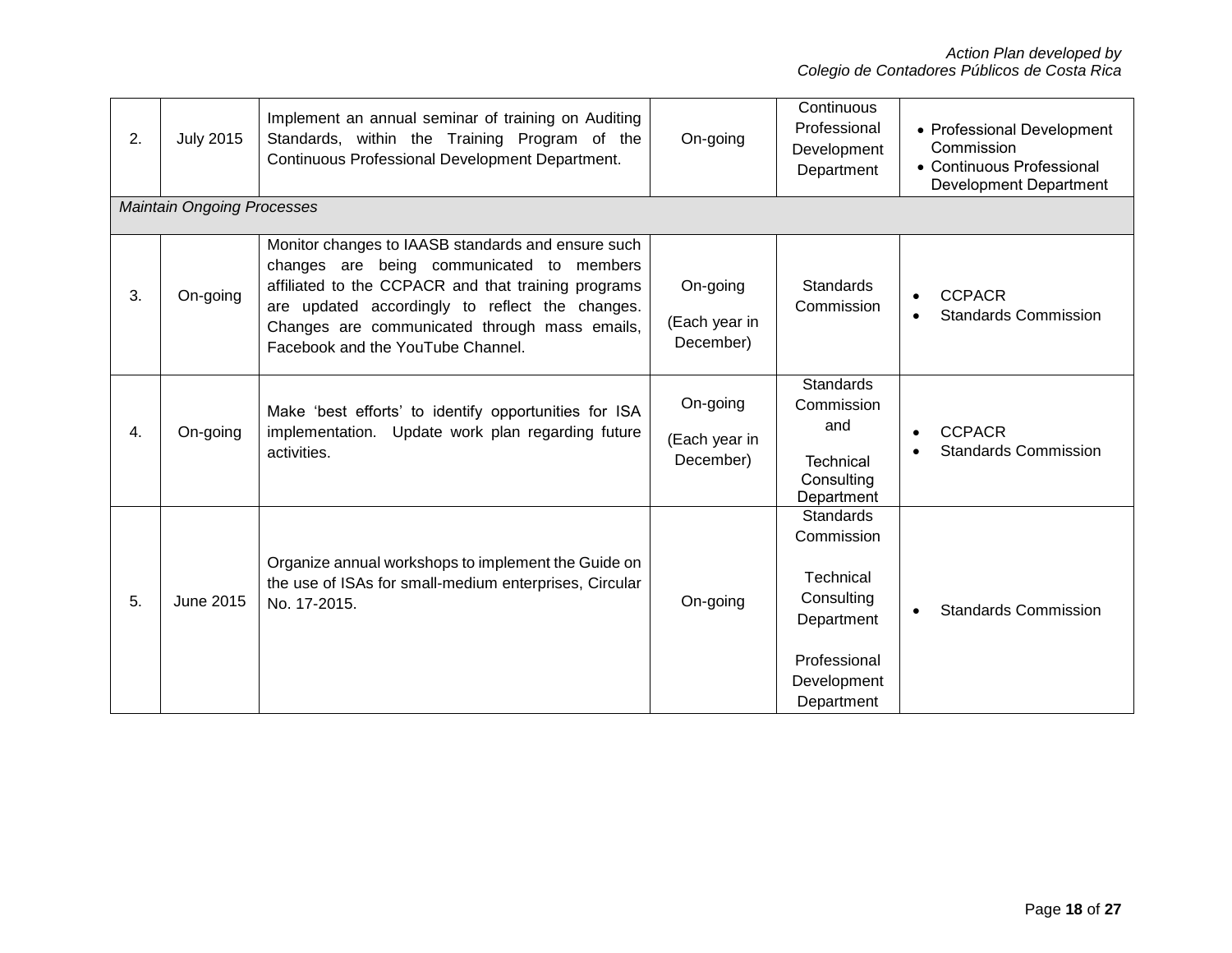| 2. | <b>July 2015</b>                  | Implement an annual seminar of training on Auditing<br>Standards, within the Training Program of the<br>Continuous Professional Development Department.                                                                                                                                         | On-going                               | Continuous<br>Professional<br>Development<br>Department                                                              | • Professional Development<br>Commission<br>• Continuous Professional<br><b>Development Department</b> |
|----|-----------------------------------|-------------------------------------------------------------------------------------------------------------------------------------------------------------------------------------------------------------------------------------------------------------------------------------------------|----------------------------------------|----------------------------------------------------------------------------------------------------------------------|--------------------------------------------------------------------------------------------------------|
|    | <b>Maintain Ongoing Processes</b> |                                                                                                                                                                                                                                                                                                 |                                        |                                                                                                                      |                                                                                                        |
| 3. | On-going                          | Monitor changes to IAASB standards and ensure such<br>changes are being communicated to members<br>affiliated to the CCPACR and that training programs<br>are updated accordingly to reflect the changes.<br>Changes are communicated through mass emails,<br>Facebook and the YouTube Channel. | On-going<br>(Each year in<br>December) | <b>Standards</b><br>Commission                                                                                       | <b>CCPACR</b><br><b>Standards Commission</b>                                                           |
| 4. | On-going                          | Make 'best efforts' to identify opportunities for ISA<br>implementation. Update work plan regarding future<br>activities.                                                                                                                                                                       | On-going<br>(Each year in<br>December) | <b>Standards</b><br>Commission<br>and<br><b>Technical</b><br>Consulting<br>Department                                | <b>CCPACR</b><br>$\bullet$<br><b>Standards Commission</b>                                              |
| 5. | June 2015                         | Organize annual workshops to implement the Guide on<br>the use of ISAs for small-medium enterprises, Circular<br>No. 17-2015.                                                                                                                                                                   | On-going                               | Standards<br>Commission<br><b>Technical</b><br>Consulting<br>Department<br>Professional<br>Development<br>Department | <b>Standards Commission</b>                                                                            |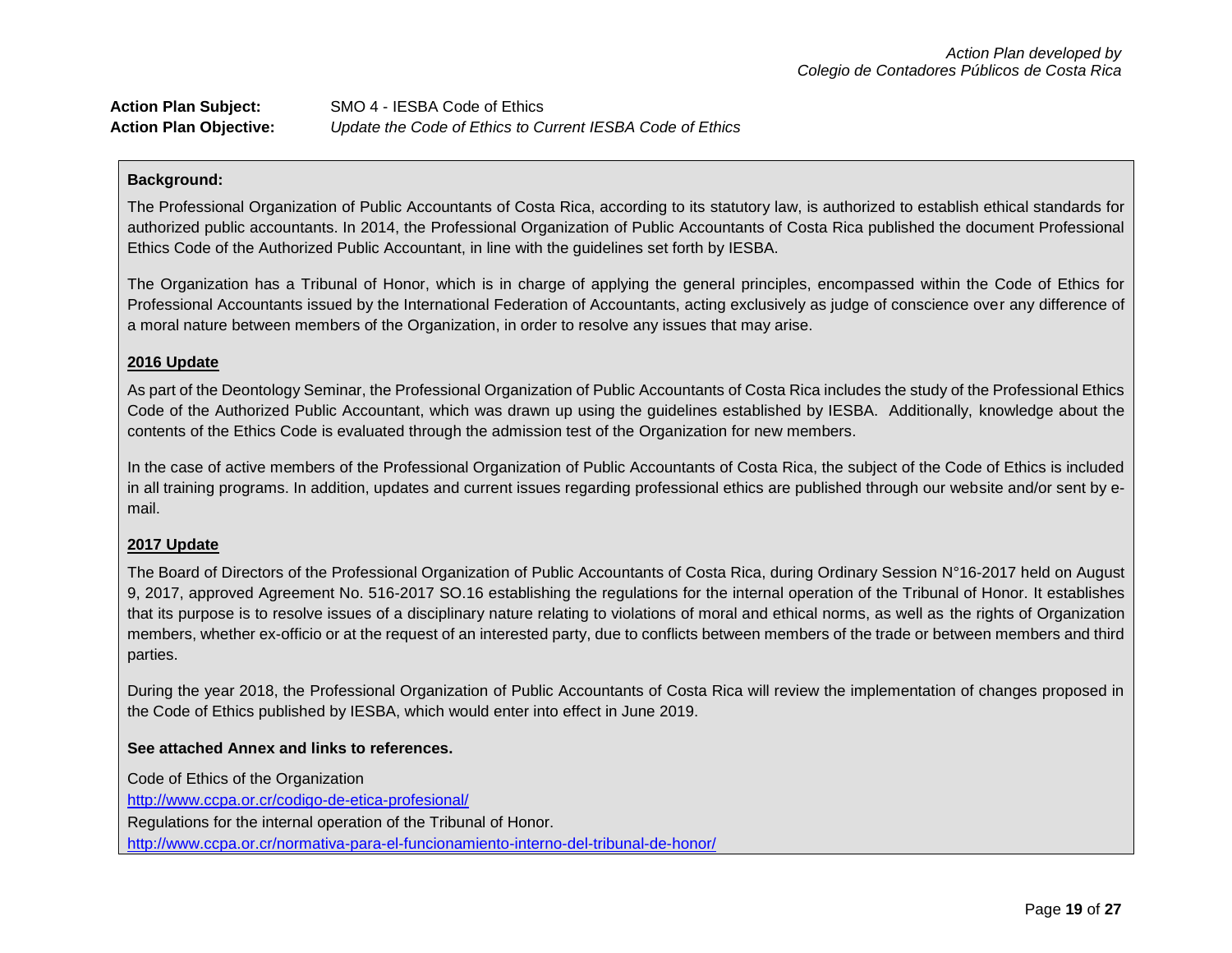| <b>Action Plan Subject:</b>   | SMO 4 - IESBA Code of Ethics                              |
|-------------------------------|-----------------------------------------------------------|
| <b>Action Plan Objective:</b> | Update the Code of Ethics to Current IESBA Code of Ethics |

The Professional Organization of Public Accountants of Costa Rica, according to its statutory law, is authorized to establish ethical standards for authorized public accountants. In 2014, the Professional Organization of Public Accountants of Costa Rica published the document Professional Ethics Code of the Authorized Public Accountant, in line with the guidelines set forth by IESBA.

The Organization has a Tribunal of Honor, which is in charge of applying the general principles, encompassed within the Code of Ethics for Professional Accountants issued by the International Federation of Accountants, acting exclusively as judge of conscience over any difference of a moral nature between members of the Organization, in order to resolve any issues that may arise.

### **2016 Update**

As part of the Deontology Seminar, the Professional Organization of Public Accountants of Costa Rica includes the study of the Professional Ethics Code of the Authorized Public Accountant, which was drawn up using the guidelines established by IESBA. Additionally, knowledge about the contents of the Ethics Code is evaluated through the admission test of the Organization for new members.

In the case of active members of the Professional Organization of Public Accountants of Costa Rica, the subject of the Code of Ethics is included in all training programs. In addition, updates and current issues regarding professional ethics are published through our website and/or sent by email.

### **2017 Update**

The Board of Directors of the Professional Organization of Public Accountants of Costa Rica, during Ordinary Session N°16-2017 held on August 9, 2017, approved Agreement No. 516-2017 SO.16 establishing the regulations for the internal operation of the Tribunal of Honor. It establishes that its purpose is to resolve issues of a disciplinary nature relating to violations of moral and ethical norms, as well as the rights of Organization members, whether ex-officio or at the request of an interested party, due to conflicts between members of the trade or between members and third parties.

During the year 2018, the Professional Organization of Public Accountants of Costa Rica will review the implementation of changes proposed in the Code of Ethics published by IESBA, which would enter into effect in June 2019.

### **See attached Annex and links to references.**

Code of Ethics of the Organization

<http://www.ccpa.or.cr/codigo-de-etica-profesional/>

Regulations for the internal operation of the Tribunal of Honor.

<http://www.ccpa.or.cr/normativa-para-el-funcionamiento-interno-del-tribunal-de-honor/>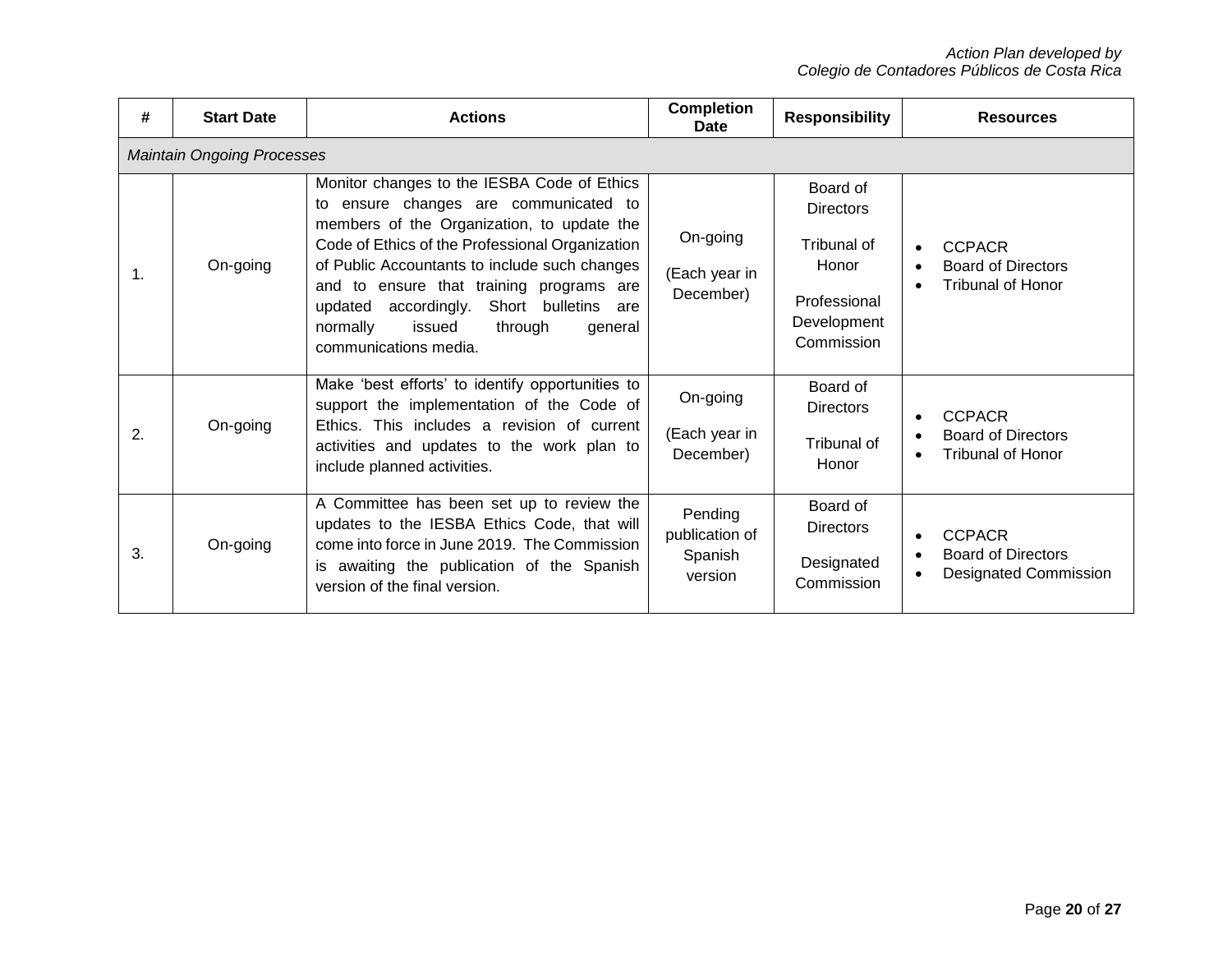| #              | <b>Start Date</b>                 | <b>Actions</b>                                                                                                                                                                                                                                                                                                                                                                                               | <b>Completion</b><br><b>Date</b>                | <b>Responsibility</b>                                                                             | <b>Resources</b>                                                           |  |  |
|----------------|-----------------------------------|--------------------------------------------------------------------------------------------------------------------------------------------------------------------------------------------------------------------------------------------------------------------------------------------------------------------------------------------------------------------------------------------------------------|-------------------------------------------------|---------------------------------------------------------------------------------------------------|----------------------------------------------------------------------------|--|--|
|                | <b>Maintain Ongoing Processes</b> |                                                                                                                                                                                                                                                                                                                                                                                                              |                                                 |                                                                                                   |                                                                            |  |  |
| $\mathbf{1}$ . | On-going                          | Monitor changes to the IESBA Code of Ethics<br>to ensure changes are communicated to<br>members of the Organization, to update the<br>Code of Ethics of the Professional Organization<br>of Public Accountants to include such changes<br>and to ensure that training programs are<br>Short bulletins<br>accordingly.<br>updated<br>are<br>normally<br>issued<br>through<br>general<br>communications media. | On-going<br>(Each year in<br>December)          | Board of<br><b>Directors</b><br>Tribunal of<br>Honor<br>Professional<br>Development<br>Commission | <b>CCPACR</b><br><b>Board of Directors</b><br><b>Tribunal of Honor</b>     |  |  |
| 2.             | On-going                          | Make 'best efforts' to identify opportunities to<br>support the implementation of the Code of<br>Ethics. This includes a revision of current<br>activities and updates to the work plan to<br>include planned activities.                                                                                                                                                                                    | On-going<br>(Each year in<br>December)          | Board of<br><b>Directors</b><br>Tribunal of<br>Honor                                              | <b>CCPACR</b><br><b>Board of Directors</b><br><b>Tribunal of Honor</b>     |  |  |
| 3.             | On-going                          | A Committee has been set up to review the<br>updates to the IESBA Ethics Code, that will<br>come into force in June 2019. The Commission<br>is awaiting the publication of the Spanish<br>version of the final version.                                                                                                                                                                                      | Pending<br>publication of<br>Spanish<br>version | Board of<br><b>Directors</b><br>Designated<br>Commission                                          | <b>CCPACR</b><br><b>Board of Directors</b><br><b>Designated Commission</b> |  |  |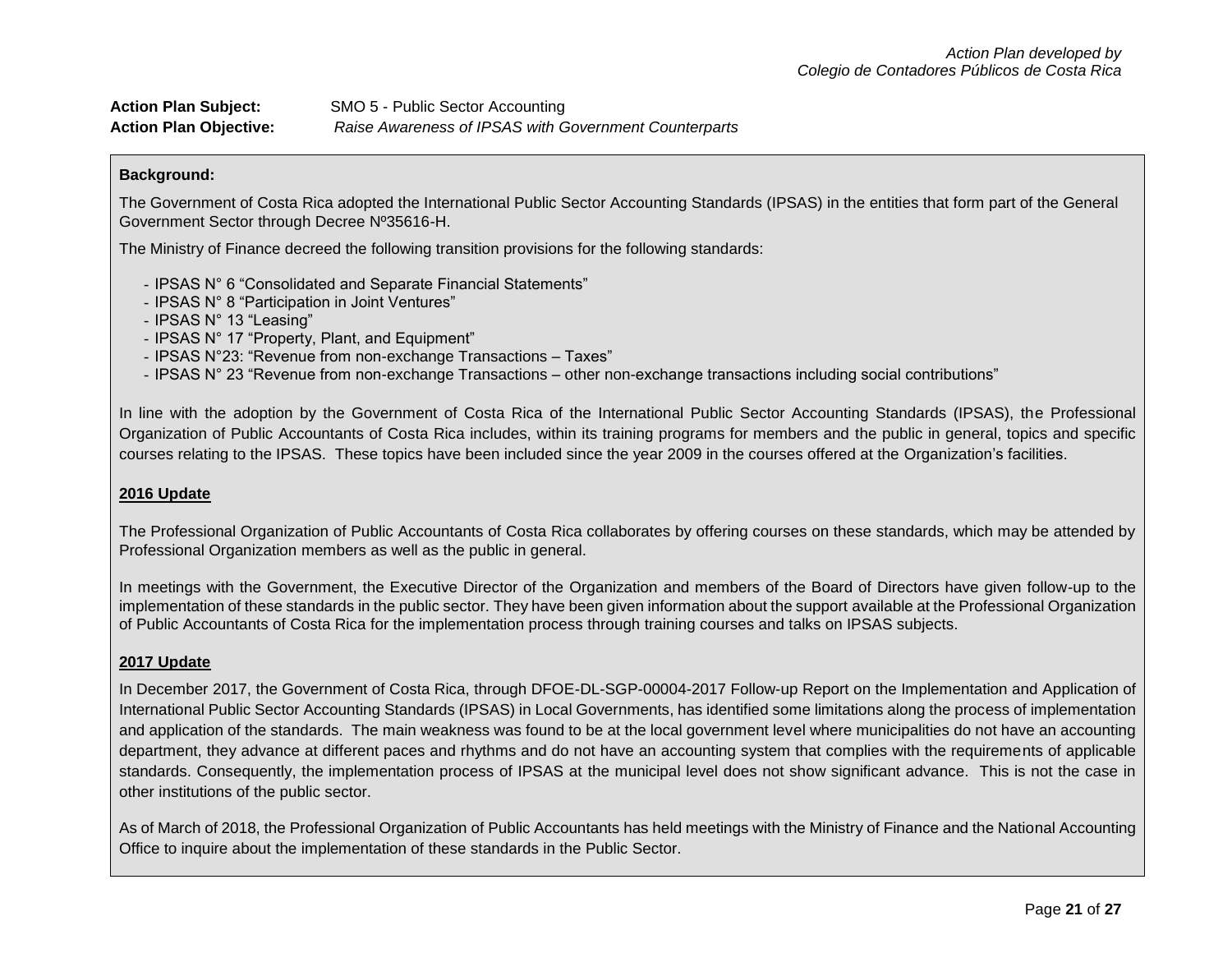| <b>Action Plan Subject:</b>   | SMO 5 - Public Sector Accounting                      |
|-------------------------------|-------------------------------------------------------|
| <b>Action Plan Objective:</b> | Raise Awareness of IPSAS with Government Counterparts |

The Government of Costa Rica adopted the International Public Sector Accounting Standards (IPSAS) in the entities that form part of the General Government Sector through Decree Nº35616-H.

The Ministry of Finance decreed the following transition provisions for the following standards:

- IPSAS N° 6 "Consolidated and Separate Financial Statements"
- IPSAS N° 8 "Participation in Joint Ventures"
- IPSAS N° 13 "Leasing"
- IPSAS N° 17 "Property, Plant, and Equipment"
- IPSAS N°23: "Revenue from non-exchange Transactions Taxes"
- IPSAS N° 23 "Revenue from non-exchange Transactions other non-exchange transactions including social contributions"

In line with the adoption by the Government of Costa Rica of the International Public Sector Accounting Standards (IPSAS), the Professional Organization of Public Accountants of Costa Rica includes, within its training programs for members and the public in general, topics and specific courses relating to the IPSAS. These topics have been included since the year 2009 in the courses offered at the Organization's facilities.

### **2016 Update**

The Professional Organization of Public Accountants of Costa Rica collaborates by offering courses on these standards, which may be attended by Professional Organization members as well as the public in general.

In meetings with the Government, the Executive Director of the Organization and members of the Board of Directors have given follow-up to the implementation of these standards in the public sector. They have been given information about the support available at the Professional Organization of Public Accountants of Costa Rica for the implementation process through training courses and talks on IPSAS subjects.

### **2017 Update**

In December 2017, the Government of Costa Rica, through DFOE-DL-SGP-00004-2017 Follow-up Report on the Implementation and Application of International Public Sector Accounting Standards (IPSAS) in Local Governments, has identified some limitations along the process of implementation and application of the standards. The main weakness was found to be at the local government level where municipalities do not have an accounting department, they advance at different paces and rhythms and do not have an accounting system that complies with the requirements of applicable standards. Consequently, the implementation process of IPSAS at the municipal level does not show significant advance. This is not the case in other institutions of the public sector.

As of March of 2018, the Professional Organization of Public Accountants has held meetings with the Ministry of Finance and the National Accounting Office to inquire about the implementation of these standards in the Public Sector.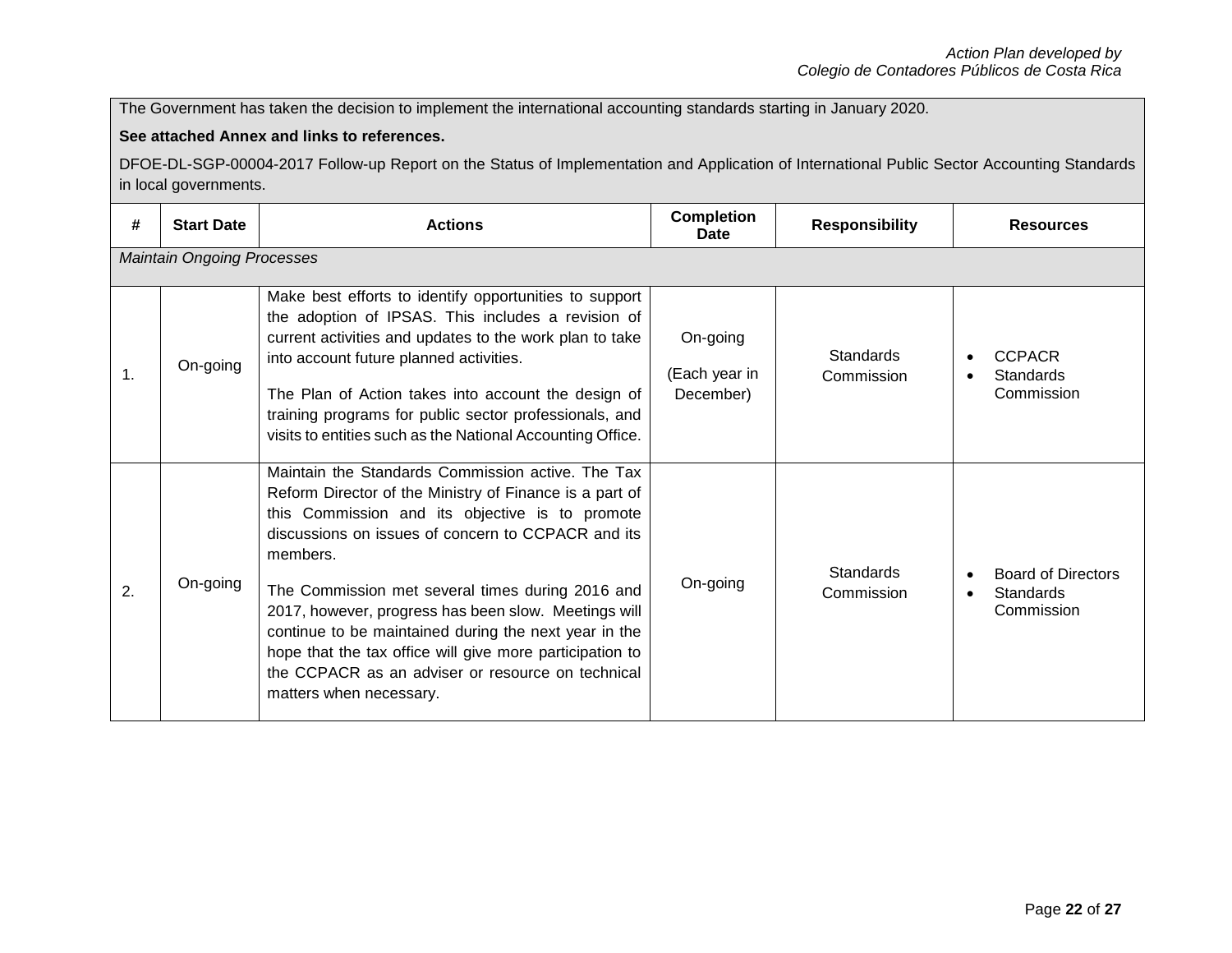The Government has taken the decision to implement the international accounting standards starting in January 2020.

## **See attached Annex and links to references.**

DFOE-DL-SGP-00004-2017 Follow-up Report on the Status of Implementation and Application of International Public Sector Accounting Standards in local governments.

| #              | <b>Start Date</b>                 | <b>Actions</b>                                                                                                                                                                                                                                                                                                                                                                                                                                                                                                                                     | <b>Completion</b><br>Date              | <b>Responsibility</b>   | <b>Resources</b>                                                 |  |  |
|----------------|-----------------------------------|----------------------------------------------------------------------------------------------------------------------------------------------------------------------------------------------------------------------------------------------------------------------------------------------------------------------------------------------------------------------------------------------------------------------------------------------------------------------------------------------------------------------------------------------------|----------------------------------------|-------------------------|------------------------------------------------------------------|--|--|
|                | <b>Maintain Ongoing Processes</b> |                                                                                                                                                                                                                                                                                                                                                                                                                                                                                                                                                    |                                        |                         |                                                                  |  |  |
| $\mathbf{1}$ . | On-going                          | Make best efforts to identify opportunities to support<br>the adoption of IPSAS. This includes a revision of<br>current activities and updates to the work plan to take<br>into account future planned activities.<br>The Plan of Action takes into account the design of<br>training programs for public sector professionals, and<br>visits to entities such as the National Accounting Office.                                                                                                                                                  | On-going<br>(Each year in<br>December) | Standards<br>Commission | <b>CCPACR</b><br>Standards<br>Commission                         |  |  |
| 2.             | On-going                          | Maintain the Standards Commission active. The Tax<br>Reform Director of the Ministry of Finance is a part of<br>this Commission and its objective is to promote<br>discussions on issues of concern to CCPACR and its<br>members.<br>The Commission met several times during 2016 and<br>2017, however, progress has been slow. Meetings will<br>continue to be maintained during the next year in the<br>hope that the tax office will give more participation to<br>the CCPACR as an adviser or resource on technical<br>matters when necessary. | On-going                               | Standards<br>Commission | <b>Board of Directors</b><br><b>Standards</b><br>٠<br>Commission |  |  |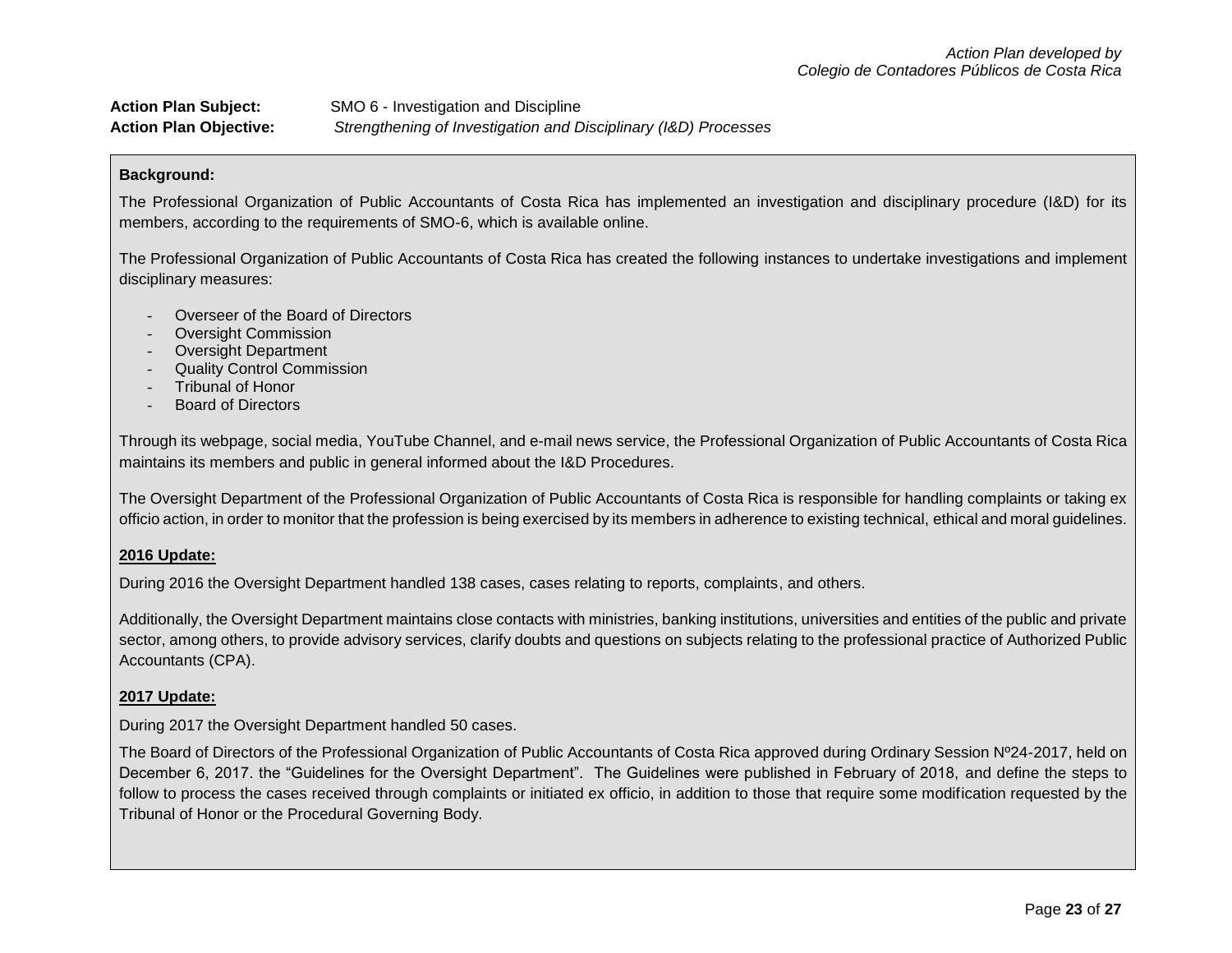| <b>Action Plan Subject:</b>   | SMO 6 - Investigation and Discipline                            |
|-------------------------------|-----------------------------------------------------------------|
| <b>Action Plan Objective:</b> | Strengthening of Investigation and Disciplinary (I&D) Processes |

The Professional Organization of Public Accountants of Costa Rica has implemented an investigation and disciplinary procedure (I&D) for its members, according to the requirements of SMO-6, which is available online.

The Professional Organization of Public Accountants of Costa Rica has created the following instances to undertake investigations and implement disciplinary measures:

- Overseer of the Board of Directors
- Oversight Commission
- Oversight Department
- Quality Control Commission
- Tribunal of Honor
- Board of Directors

Through its webpage, social media, YouTube Channel, and e-mail news service, the Professional Organization of Public Accountants of Costa Rica maintains its members and public in general informed about the I&D Procedures.

The Oversight Department of the Professional Organization of Public Accountants of Costa Rica is responsible for handling complaints or taking ex officio action, in order to monitor that the profession is being exercised by its members in adherence to existing technical, ethical and moral guidelines.

### **2016 Update:**

During 2016 the Oversight Department handled 138 cases, cases relating to reports, complaints, and others.

Additionally, the Oversight Department maintains close contacts with ministries, banking institutions, universities and entities of the public and private sector, among others, to provide advisory services, clarify doubts and questions on subjects relating to the professional practice of Authorized Public Accountants (CPA).

### **2017 Update:**

During 2017 the Oversight Department handled 50 cases.

The Board of Directors of the Professional Organization of Public Accountants of Costa Rica approved during Ordinary Session Nº24-2017, held on December 6, 2017. the "Guidelines for the Oversight Department". The Guidelines were published in February of 2018, and define the steps to follow to process the cases received through complaints or initiated ex officio, in addition to those that require some modification requested by the Tribunal of Honor or the Procedural Governing Body.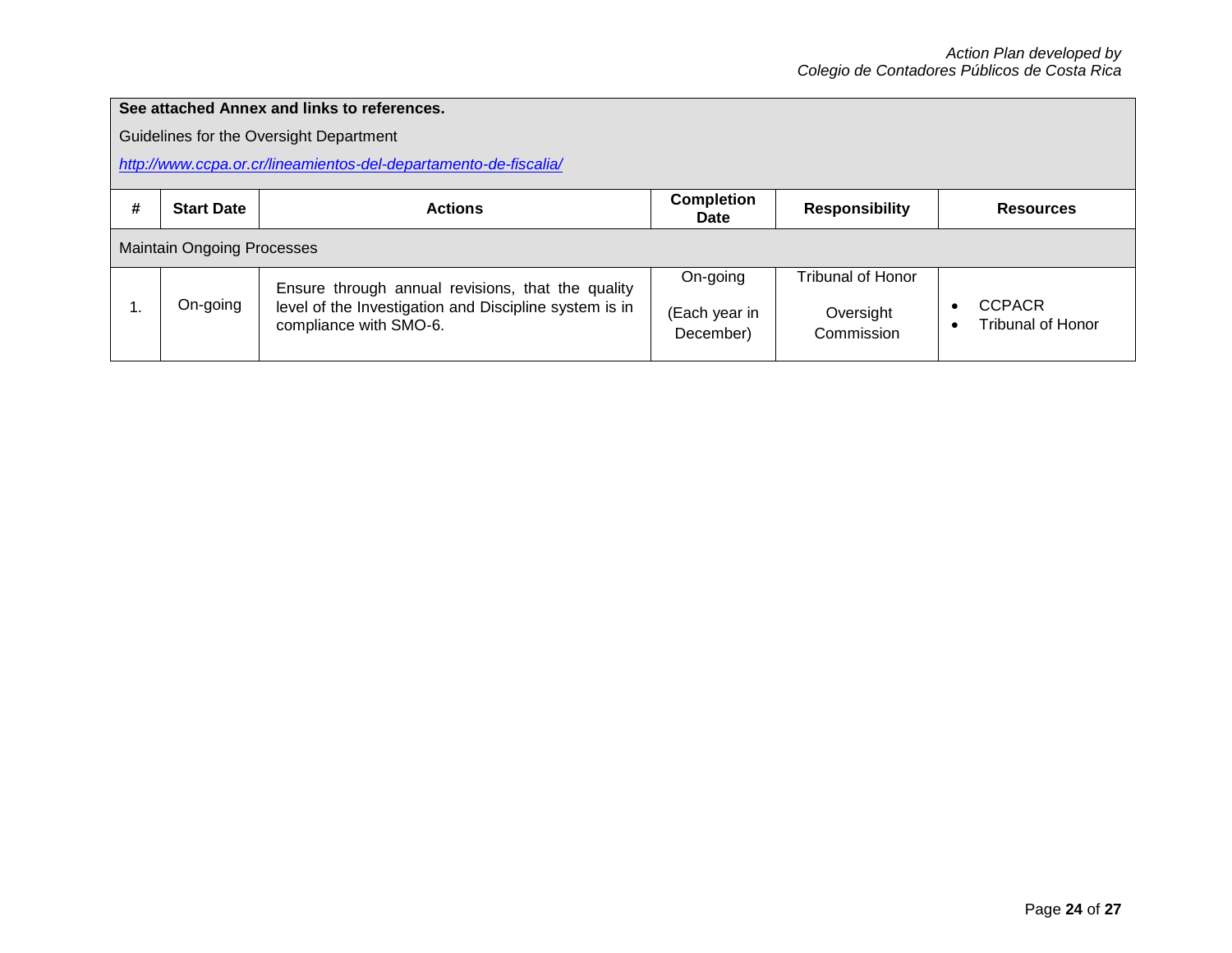## **See attached Annex and links to references.**

Guidelines for the Oversight Department

*<http://www.ccpa.or.cr/lineamientos-del-departamento-de-fiscalia/>*

| # | <b>Start Date</b>                 | <b>Actions</b>                                                                                                                        | <b>Completion</b><br><b>Date</b>       | <b>Responsibility</b>                        | <b>Resources</b>                          |  |
|---|-----------------------------------|---------------------------------------------------------------------------------------------------------------------------------------|----------------------------------------|----------------------------------------------|-------------------------------------------|--|
|   | <b>Maintain Ongoing Processes</b> |                                                                                                                                       |                                        |                                              |                                           |  |
|   | On-going                          | Ensure through annual revisions, that the quality<br>level of the Investigation and Discipline system is in<br>compliance with SMO-6. | On-going<br>(Each year in<br>December) | Tribunal of Honor<br>Oversight<br>Commission | <b>CCPACR</b><br><b>Tribunal of Honor</b> |  |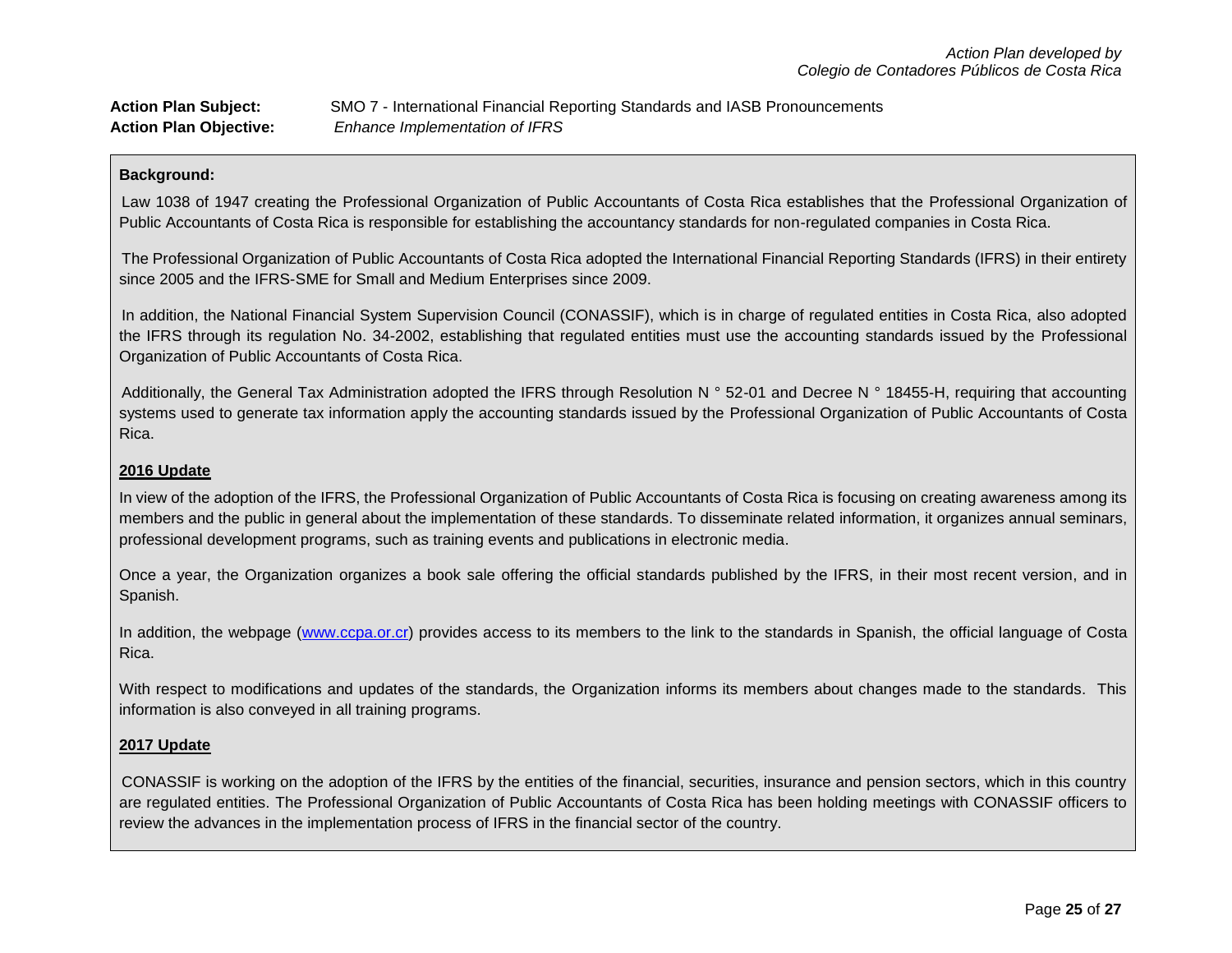| <b>Action Plan Subject:</b>   | SMO 7 - International Financial Reporting Standards and IASB Pronouncements |
|-------------------------------|-----------------------------------------------------------------------------|
| <b>Action Plan Objective:</b> | Enhance Implementation of IFRS                                              |

Law 1038 of 1947 creating the Professional Organization of Public Accountants of Costa Rica establishes that the Professional Organization of Public Accountants of Costa Rica is responsible for establishing the accountancy standards for non-regulated companies in Costa Rica.

The Professional Organization of Public Accountants of Costa Rica adopted the International Financial Reporting Standards (IFRS) in their entirety since 2005 and the IFRS-SME for Small and Medium Enterprises since 2009.

In addition, the National Financial System Supervision Council (CONASSIF), which is in charge of regulated entities in Costa Rica, also adopted the IFRS through its regulation No. 34-2002, establishing that regulated entities must use the accounting standards issued by the Professional Organization of Public Accountants of Costa Rica.

Additionally, the General Tax Administration adopted the IFRS through Resolution N ° 52-01 and Decree N ° 18455-H, requiring that accounting systems used to generate tax information apply the accounting standards issued by the Professional Organization of Public Accountants of Costa Rica.

## **2016 Update**

In view of the adoption of the IFRS, the Professional Organization of Public Accountants of Costa Rica is focusing on creating awareness among its members and the public in general about the implementation of these standards. To disseminate related information, it organizes annual seminars, professional development programs, such as training events and publications in electronic media.

Once a year, the Organization organizes a book sale offering the official standards published by the IFRS, in their most recent version, and in Spanish.

In addition, the webpage [\(www.ccpa.or.cr\)](http://www.ccpa.or.cr/) provides access to its members to the link to the standards in Spanish, the official language of Costa Rica.

With respect to modifications and updates of the standards, the Organization informs its members about changes made to the standards. This information is also conveyed in all training programs.

### **2017 Update**

CONASSIF is working on the adoption of the IFRS by the entities of the financial, securities, insurance and pension sectors, which in this country are regulated entities. The Professional Organization of Public Accountants of Costa Rica has been holding meetings with CONASSIF officers to review the advances in the implementation process of IFRS in the financial sector of the country.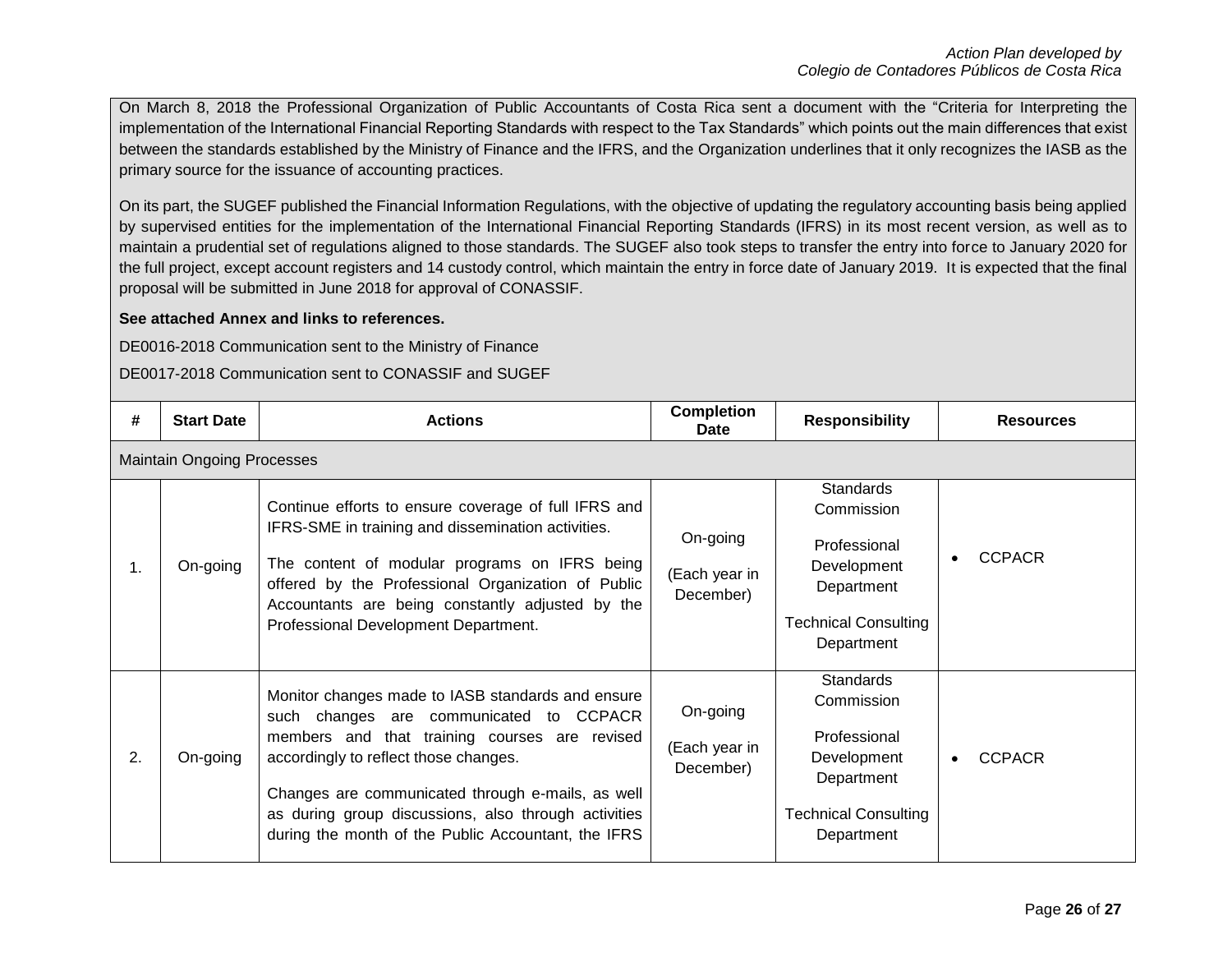On March 8, 2018 the Professional Organization of Public Accountants of Costa Rica sent a document with the "Criteria for Interpreting the implementation of the International Financial Reporting Standards with respect to the Tax Standards" which points out the main differences that exist between the standards established by the Ministry of Finance and the IFRS, and the Organization underlines that it only recognizes the IASB as the primary source for the issuance of accounting practices.

On its part, the SUGEF published the Financial Information Regulations, with the objective of updating the regulatory accounting basis being applied by supervised entities for the implementation of the International Financial Reporting Standards (IFRS) in its most recent version, as well as to maintain a prudential set of regulations aligned to those standards. The SUGEF also took steps to transfer the entry into force to January 2020 for the full project, except account registers and 14 custody control, which maintain the entry in force date of January 2019. It is expected that the final proposal will be submitted in June 2018 for approval of CONASSIF.

## **See attached Annex and links to references.**

DE0016-2018 Communication sent to the Ministry of Finance

DE0017-2018 Communication sent to CONASSIF and SUGEF

| #  | <b>Start Date</b>                 | <b>Actions</b>                                                                                                                                                                                                                                                                                                                                             | <b>Completion</b><br>Date              | <b>Responsibility</b>                                                                                                    | <b>Resources</b>           |  |  |  |
|----|-----------------------------------|------------------------------------------------------------------------------------------------------------------------------------------------------------------------------------------------------------------------------------------------------------------------------------------------------------------------------------------------------------|----------------------------------------|--------------------------------------------------------------------------------------------------------------------------|----------------------------|--|--|--|
|    | <b>Maintain Ongoing Processes</b> |                                                                                                                                                                                                                                                                                                                                                            |                                        |                                                                                                                          |                            |  |  |  |
| 1. | On-going                          | Continue efforts to ensure coverage of full IFRS and<br>IFRS-SME in training and dissemination activities.<br>The content of modular programs on IFRS being<br>offered by the Professional Organization of Public<br>Accountants are being constantly adjusted by the<br>Professional Development Department.                                              | On-going<br>(Each year in<br>December) | <b>Standards</b><br>Commission<br>Professional<br>Development<br>Department<br><b>Technical Consulting</b><br>Department | <b>CCPACR</b>              |  |  |  |
| 2. | On-going                          | Monitor changes made to IASB standards and ensure<br>such changes are communicated to CCPACR<br>members and that training courses are revised<br>accordingly to reflect those changes.<br>Changes are communicated through e-mails, as well<br>as during group discussions, also through activities<br>during the month of the Public Accountant, the IFRS | On-going<br>(Each year in<br>December) | <b>Standards</b><br>Commission<br>Professional<br>Development<br>Department<br><b>Technical Consulting</b><br>Department | <b>CCPACR</b><br>$\bullet$ |  |  |  |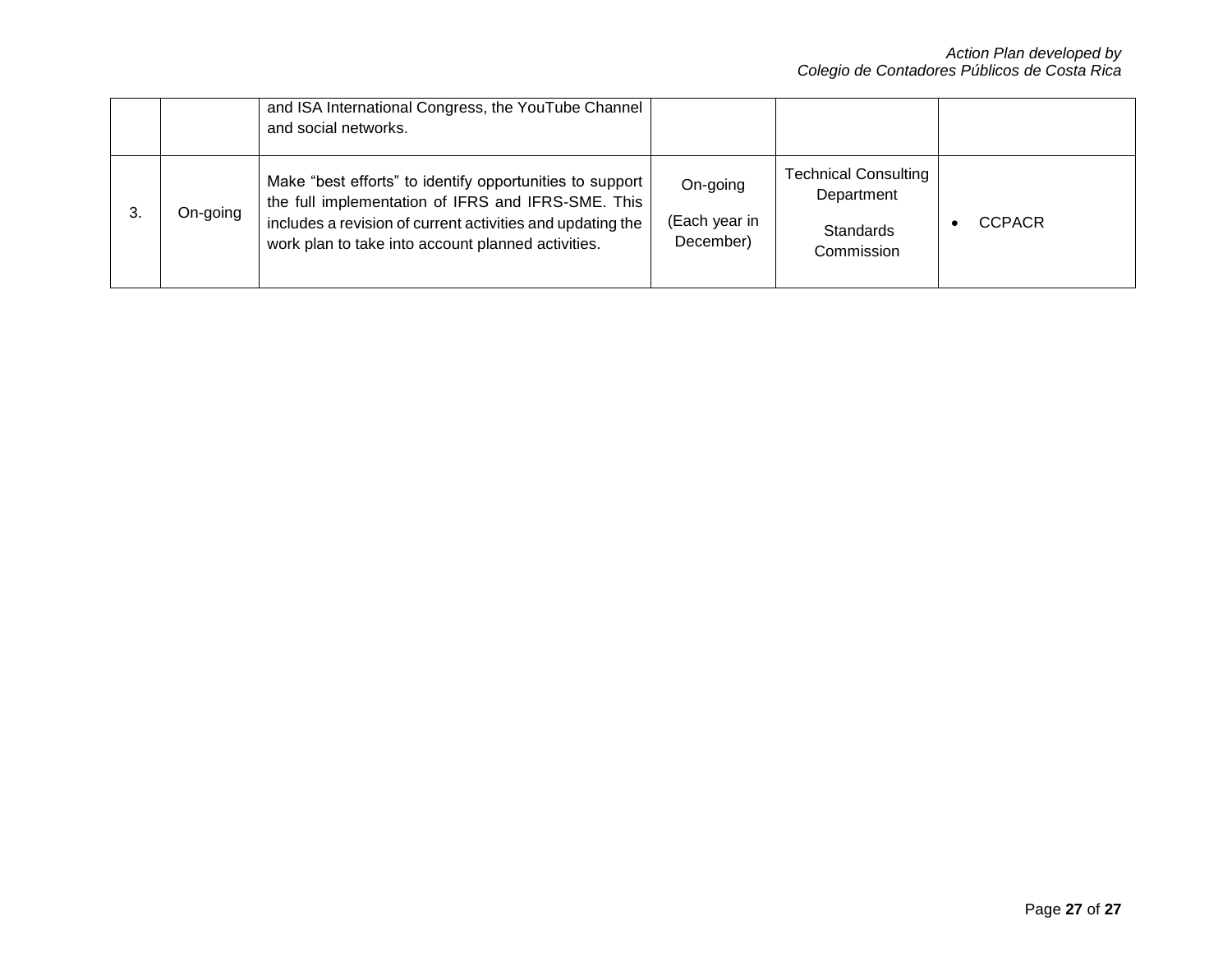|    |          | and ISA International Congress, the YouTube Channel<br>and social networks.                                                                                                                                                        |                                        |                                                                             |               |
|----|----------|------------------------------------------------------------------------------------------------------------------------------------------------------------------------------------------------------------------------------------|----------------------------------------|-----------------------------------------------------------------------------|---------------|
| 3. | On-going | Make "best efforts" to identify opportunities to support<br>the full implementation of IFRS and IFRS-SME. This<br>includes a revision of current activities and updating the<br>work plan to take into account planned activities. | On-going<br>(Each year in<br>December) | <b>Technical Consulting</b><br>Department<br><b>Standards</b><br>Commission | <b>CCPACR</b> |